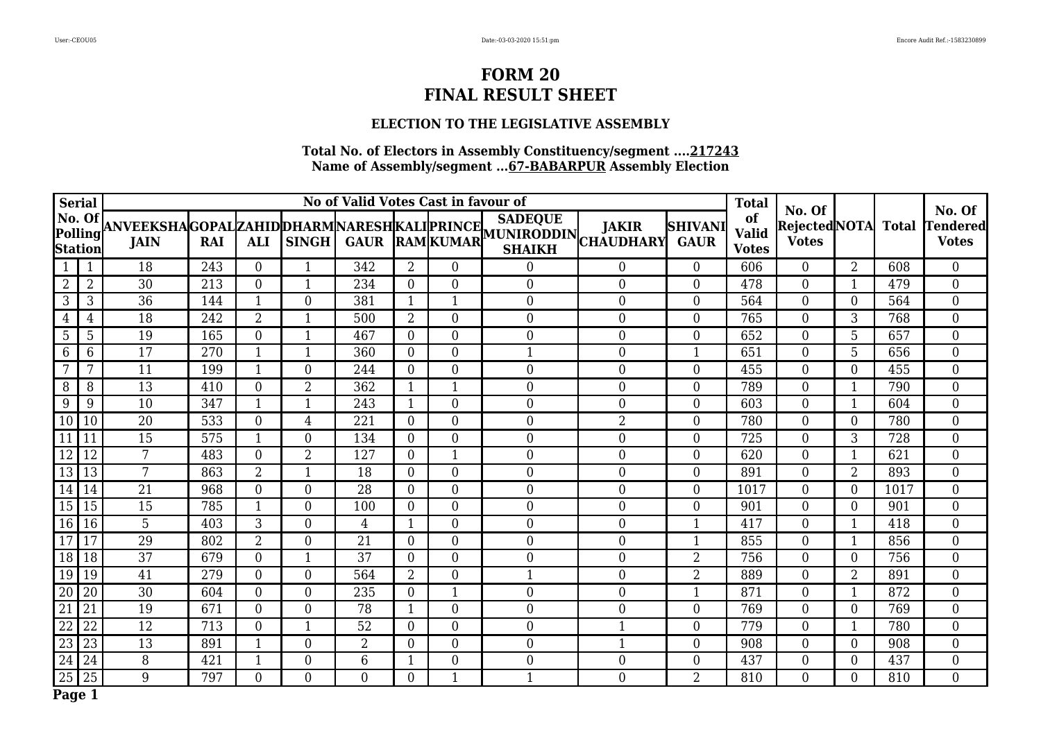## **ELECTION TO THE LEGISLATIVE ASSEMBLY**

| Serial          |                     |                 |     |                  |                  | No of Valid Votes Cast in favour of |                  |                  |                                                                                                                                                                                              |                  |                               | <b>Total</b>                       | No. Of                        |                  |              | No. Of                   |
|-----------------|---------------------|-----------------|-----|------------------|------------------|-------------------------------------|------------------|------------------|----------------------------------------------------------------------------------------------------------------------------------------------------------------------------------------------|------------------|-------------------------------|------------------------------------|-------------------------------|------------------|--------------|--------------------------|
| Station         | No. Of [<br>Polling |                 |     |                  |                  |                                     |                  |                  | <b>SADEQUE</b><br> ANVEEKSHA GOPAL ZAHID DHARM NARESH KALI PRINCE   <sup>SADEQUE</sup>    JAKIR   S<br>   JAIN   RAI   ALI   SINGH   GAUR   RAM  KUMAR   GHAIVH  CHAUDHARY <br><b>SHAIKH</b> |                  | <b>SHIVANI</b><br><b>GAUR</b> | of<br><b>Valid</b><br><b>Votes</b> | Rejected NOTA<br><b>Votes</b> |                  | <b>Total</b> | Tendered<br><b>Votes</b> |
| $\mathbf{1}$    | $\mathbf{1}$        | 18              | 243 | $\overline{0}$   | 1                | 342                                 | $\overline{2}$   | $\overline{0}$   | $\Omega$                                                                                                                                                                                     | $\overline{0}$   | $\Omega$                      | 606                                | $\Omega$                      | $\overline{2}$   | 608          | $\overline{0}$           |
| $\overline{2}$  | $\overline{2}$      | 30              | 213 | $\boldsymbol{0}$ | $\mathbf{1}$     | 234                                 | $\overline{0}$   | $\boldsymbol{0}$ | $\boldsymbol{0}$                                                                                                                                                                             | $\mathbf{0}$     | $\mathbf{0}$                  | 478                                | $\overline{0}$                | 1                | 479          | $\mathbf{0}$             |
| $\mathfrak{Z}$  | 3                   | $\overline{36}$ | 144 | $\mathbf{1}$     | $\boldsymbol{0}$ | 381                                 | $\mathbf{1}$     | 1                | $\boldsymbol{0}$                                                                                                                                                                             | $\mathbf{0}$     | $\overline{0}$                | 564                                | $\overline{0}$                | $\overline{0}$   | 564          | $\overline{0}$           |
| 4               | 4                   | 18              | 242 | $\overline{2}$   | 1                | 500                                 | $\overline{2}$   | 0                | $\boldsymbol{0}$                                                                                                                                                                             | $\mathbf{0}$     | 0                             | 765                                | $\overline{0}$                | 3                | 768          | $\boldsymbol{0}$         |
| 5               | 5                   | 19              | 165 | $\boldsymbol{0}$ | $\mathbf{1}$     | 467                                 | $\overline{0}$   | $\boldsymbol{0}$ | $\boldsymbol{0}$                                                                                                                                                                             | $\boldsymbol{0}$ | $\boldsymbol{0}$              | 652                                | $\overline{0}$                | 5                | 657          | $\boldsymbol{0}$         |
| 6               | 6                   | 17              | 270 | $\mathbf{1}$     | 1                | 360                                 | $\mathbf{0}$     | $\overline{0}$   |                                                                                                                                                                                              | $\overline{0}$   | 1                             | 651                                | $\overline{0}$                | 5                | 656          | $\mathbf{0}$             |
| 7               | 7                   | 11              | 199 | $\mathbf{1}$     | $\boldsymbol{0}$ | 244                                 | $\overline{0}$   | $\overline{0}$   | $\overline{0}$                                                                                                                                                                               | $\overline{0}$   | $\overline{0}$                | 455                                | $\overline{0}$                | $\overline{0}$   | 455          | $\boldsymbol{0}$         |
| 8               | 8                   | 13              | 410 | $\boldsymbol{0}$ | $\overline{2}$   | 362                                 | $\mathbf{1}$     | $\mathbf{1}$     | $\boldsymbol{0}$                                                                                                                                                                             | $\mathbf{0}$     | $\overline{0}$                | 789                                | $\overline{0}$                | $\mathbf{1}$     | 790          | $\boldsymbol{0}$         |
| 9               | 9                   | 10              | 347 | $\mathbf{1}$     | $\mathbf{1}$     | 243                                 | $\mathbf{1}$     | 0                | $\boldsymbol{0}$                                                                                                                                                                             | $\boldsymbol{0}$ | $\overline{0}$                | 603                                | $\overline{0}$                | $\mathbf{1}$     | 604          | $\boldsymbol{0}$         |
| $\boxed{10}$    | 10                  | 20              | 533 | $\boldsymbol{0}$ | $\overline{4}$   | 221                                 | $\overline{0}$   | $\overline{0}$   | $\overline{0}$                                                                                                                                                                               | $\overline{2}$   | $\theta$                      | 780                                | $\overline{0}$                | $\overline{0}$   | 780          | $\overline{0}$           |
| $\overline{11}$ |                     | 15              | 575 | $\mathbf{1}$     | $\overline{0}$   | 134                                 | $\overline{0}$   | $\overline{0}$   | $\overline{0}$                                                                                                                                                                               | $\mathbf{0}$     | $\overline{0}$                | 725                                | $\overline{0}$                | 3                | 728          | $\mathbf{0}$             |
| $\overline{12}$ | 12                  | 7               | 483 | $\boldsymbol{0}$ | $\overline{2}$   | 127                                 | $\overline{0}$   | 1                | $\boldsymbol{0}$                                                                                                                                                                             | $\mathbf{0}$     | $\overline{0}$                | 620                                | $\boldsymbol{0}$              | $\mathbf{1}$     | 621          | $\overline{0}$           |
| $\boxed{13}$    | 13                  | 7               | 863 | $\overline{2}$   | $\mathbf{1}$     | 18                                  | $\overline{0}$   | $\overline{0}$   | $\boldsymbol{0}$                                                                                                                                                                             | $\overline{0}$   | $\overline{0}$                | 891                                | $\overline{0}$                | 2                | 893          | $\mathbf{0}$             |
| 14              | 14                  | 21              | 968 | $\boldsymbol{0}$ | $\boldsymbol{0}$ | 28                                  | $\mathbf{0}$     | $\overline{0}$   | $\boldsymbol{0}$                                                                                                                                                                             | $\boldsymbol{0}$ | $\overline{0}$                | 1017                               | $\boldsymbol{0}$              | $\boldsymbol{0}$ | 1017         | $\boldsymbol{0}$         |
| 15              | 15                  | 15              | 785 | $\mathbf{1}$     | $\mathbf{0}$     | 100                                 | $\mathbf{0}$     | $\overline{0}$   | $\boldsymbol{0}$                                                                                                                                                                             | $\overline{0}$   | $\overline{0}$                | 901                                | $\overline{0}$                | $\overline{0}$   | 901          | $\overline{0}$           |
| 16              | 16                  | 5               | 403 | 3                | $\boldsymbol{0}$ | 4                                   | $\mathbf{1}$     | $\boldsymbol{0}$ | $\boldsymbol{0}$                                                                                                                                                                             | $\boldsymbol{0}$ | $\mathbf{1}$                  | 417                                | $\overline{0}$                | $\mathbf{1}$     | 418          | $\overline{0}$           |
| 17              | 17                  | 29              | 802 | $\overline{2}$   | $\overline{0}$   | 21                                  | $\overline{0}$   | $\overline{0}$   | $\boldsymbol{0}$                                                                                                                                                                             | $\overline{0}$   | 1                             | 855                                | $\overline{0}$                | $\mathbf{1}$     | 856          | $\boldsymbol{0}$         |
| 18              | 18                  | 37              | 679 | $\boldsymbol{0}$ | 1                | 37                                  | $\overline{0}$   | 0                | $\boldsymbol{0}$                                                                                                                                                                             | $\boldsymbol{0}$ | $\overline{2}$                | 756                                | 0                             | $\overline{0}$   | 756          | $\boldsymbol{0}$         |
| 19              | 19                  | 41              | 279 | $\mathbf{0}$     | $\boldsymbol{0}$ | 564                                 | $\overline{2}$   | $\boldsymbol{0}$ |                                                                                                                                                                                              | $\mathbf{0}$     | $\overline{2}$                | 889                                | $\overline{0}$                | $\overline{2}$   | 891          | $\overline{0}$           |
| 20              | 20                  | 30              | 604 | $\boldsymbol{0}$ | $\boldsymbol{0}$ | 235                                 | $\boldsymbol{0}$ |                  | $\boldsymbol{0}$                                                                                                                                                                             | $\mathbf{0}$     | $\mathbf 1$                   | 871                                | $\overline{0}$                | 1                | 872          | $\overline{0}$           |
| $\overline{21}$ | 21                  | 19              | 671 | $\boldsymbol{0}$ | $\overline{0}$   | 78                                  | 1                | 0                | $\boldsymbol{0}$                                                                                                                                                                             | $\overline{0}$   | $\overline{0}$                | 769                                | $\boldsymbol{0}$              | $\overline{0}$   | 769          | $\boldsymbol{0}$         |
| $\overline{22}$ | 22                  | 12              | 713 | $\boldsymbol{0}$ | 1                | 52                                  | $\overline{0}$   | $\overline{0}$   | $\boldsymbol{0}$                                                                                                                                                                             |                  | $\overline{0}$                | 779                                | $\overline{0}$                | 1                | 780          | $\mathbf{0}$             |
| $\boxed{23}$    | 23                  | 13              | 891 | $\mathbf{1}$     | $\mathbf{0}$     | 2                                   | $\overline{0}$   | $\overline{0}$   | $\boldsymbol{0}$                                                                                                                                                                             | 1                | $\overline{0}$                | 908                                | $\overline{0}$                | $\overline{0}$   | 908          | $\overline{0}$           |
| $\overline{24}$ | 24                  | 8               | 421 | $\mathbf{1}$     | $\overline{0}$   | 6                                   | $\mathbf{1}$     | 0                | $\boldsymbol{0}$                                                                                                                                                                             | $\overline{0}$   | $\overline{0}$                | 437                                | $\overline{0}$                | $\overline{0}$   | 437          | $\boldsymbol{0}$         |
| $\boxed{25}$    | 25                  | 9               | 797 | $\overline{0}$   | $\overline{0}$   | $\Omega$                            | $\overline{0}$   | 1                |                                                                                                                                                                                              | $\overline{0}$   | $\overline{2}$                | 810                                | $\overline{0}$                | $\Omega$         | 810          | $\overline{0}$           |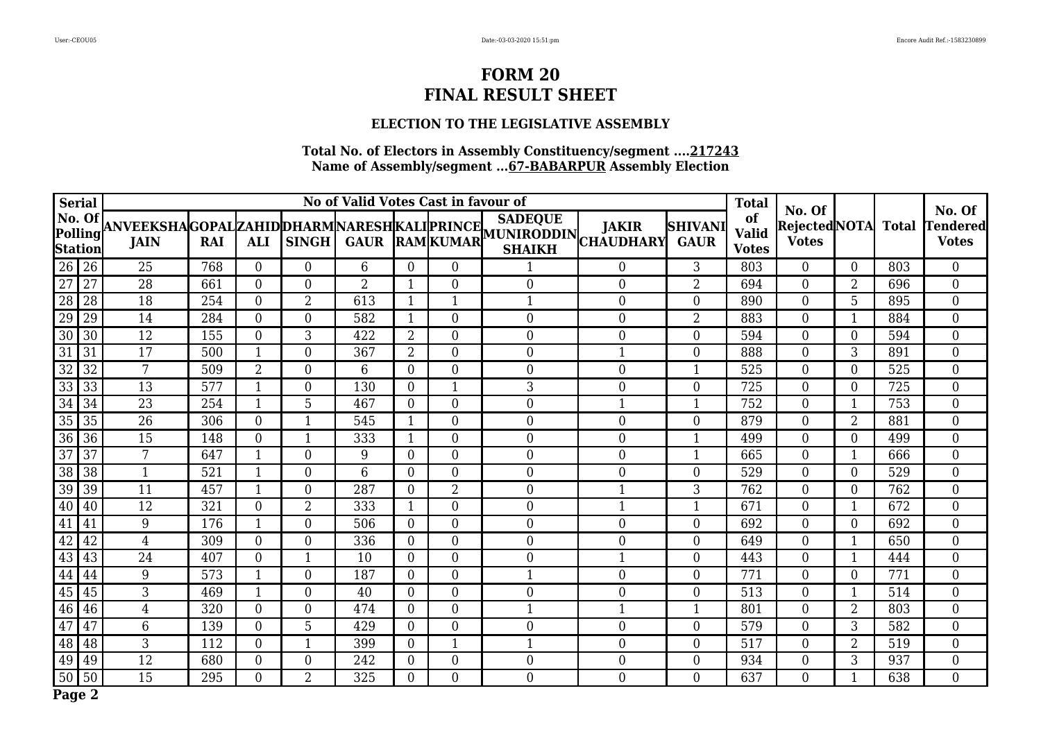## **ELECTION TO THE LEGISLATIVE ASSEMBLY**

| Serial                                                                                 |                |     |                  |                  | No of Valid Votes Cast in favour of |                |                  |                                                                                                                                                                                              |                  |                               | <b>Total</b>                       | No. Of                        |                |              | No. Of                          |
|----------------------------------------------------------------------------------------|----------------|-----|------------------|------------------|-------------------------------------|----------------|------------------|----------------------------------------------------------------------------------------------------------------------------------------------------------------------------------------------|------------------|-------------------------------|------------------------------------|-------------------------------|----------------|--------------|---------------------------------|
| No. Of [<br>Polling<br><b>Station</b>                                                  |                |     |                  |                  |                                     |                |                  | <b>SADEQUE</b><br> ANVEEKSHA GOPAL ZAHID DHARM NARESH KALI PRINCE   <sup>SADEQUE</sup>    JAKIR   S<br>   JAIN   RAI   ALI   SINGH   GAUR   RAM  KUMAR   GHAIVH  CHAUDHARY <br><b>SHAIKH</b> |                  | <b>SHIVANI</b><br><b>GAUR</b> | of<br><b>Valid</b><br><b>Votes</b> | Rejected NOTA<br><b>Votes</b> |                | <b>Total</b> | <b>Tendered</b><br><b>Votes</b> |
| $\boxed{26}$                                                                           | 25             | 768 | $\overline{0}$   | $\overline{0}$   | 6                                   | $\Omega$       | $\overline{0}$   |                                                                                                                                                                                              | $\overline{0}$   | 3                             | 803                                | $\Omega$                      | $\overline{0}$ | 803          | $\overline{0}$                  |
| 27                                                                                     | 28             | 661 | $\boldsymbol{0}$ | $\mathbf{0}$     | $\overline{2}$                      | 1              | 0                | $\boldsymbol{0}$                                                                                                                                                                             | $\boldsymbol{0}$ | $\overline{2}$                | 694                                | $\overline{0}$                | 2              | 696          | $\mathbf{0}$                    |
| $\begin{array}{c}\n\overline{27} \\ \overline{28} \\ \overline{29}\n\end{array}$<br>28 | 18             | 254 | $\boldsymbol{0}$ | $\overline{2}$   | 613                                 | 1              | 1                |                                                                                                                                                                                              | $\mathbf{0}$     | $\overline{0}$                | 890                                | $\overline{0}$                | 5              | 895          | $\overline{0}$                  |
| 29                                                                                     | 14             | 284 | $\boldsymbol{0}$ | $\boldsymbol{0}$ | 582                                 |                | 0                | $\boldsymbol{0}$                                                                                                                                                                             | $\overline{0}$   | $\overline{2}$                | 883                                | $\boldsymbol{0}$              | 1              | 884          | $\boldsymbol{0}$                |
| $\overline{30}$<br>30                                                                  | 12             | 155 | $\boldsymbol{0}$ | 3                | 422                                 | $\overline{2}$ | 0                | $\boldsymbol{0}$                                                                                                                                                                             | $\boldsymbol{0}$ | $\boldsymbol{0}$              | 594                                | $\overline{0}$                | 0              | 594          | $\boldsymbol{0}$                |
| $\overline{31}$<br>31                                                                  | 17             | 500 | $\mathbf{1}$     | $\boldsymbol{0}$ | 367                                 | $\overline{2}$ | $\boldsymbol{0}$ | $\boldsymbol{0}$                                                                                                                                                                             |                  | $\overline{0}$                | 888                                | $\overline{0}$                | 3              | 891          | $\boldsymbol{0}$                |
| $\overline{32}$<br>32                                                                  | 7              | 509 | $\overline{2}$   | $\boldsymbol{0}$ | 6                                   | $\overline{0}$ | $\overline{0}$   | $\overline{0}$                                                                                                                                                                               | $\overline{0}$   | 1                             | 525                                | $\overline{0}$                | $\overline{0}$ | 525          | $\boldsymbol{0}$                |
| $\sqrt{33}$<br>33                                                                      | 13             | 577 | $\mathbf{1}$     | $\boldsymbol{0}$ | 130                                 | $\overline{0}$ | $\mathbf{1}$     | 3                                                                                                                                                                                            | $\overline{0}$   | $\overline{0}$                | 725                                | $\overline{0}$                | $\overline{0}$ | 725          | $\boldsymbol{0}$                |
|                                                                                        | 23             | 254 | $\mathbf{1}$     | 5                | 467                                 | $\overline{0}$ | 0                | $\boldsymbol{0}$                                                                                                                                                                             | 1                | $\mathbf{1}$                  | 752                                | $\overline{0}$                | $\mathbf{1}$   | 753          | $\boldsymbol{0}$                |
| $\frac{33}{34} \frac{33}{34}$<br>$\frac{35}{35} \frac{35}{36}$                         | 26             | 306 | $\boldsymbol{0}$ | $\mathbf{1}$     | 545                                 | $\mathbf{1}$   | $\overline{0}$   | $\overline{0}$                                                                                                                                                                               | $\overline{0}$   | $\theta$                      | 879                                | $\overline{0}$                | $\overline{2}$ | 881          | $\overline{0}$                  |
|                                                                                        | 15             | 148 | $\boldsymbol{0}$ | $\mathbf{1}$     | 333                                 | -1             | $\overline{0}$   | $\overline{0}$                                                                                                                                                                               | $\overline{0}$   | $\mathbf 1$                   | 499                                | $\overline{0}$                | $\Omega$       | 499          | $\overline{0}$                  |
| $\overline{37}$<br>37                                                                  | 7              | 647 | $\mathbf{1}$     | $\boldsymbol{0}$ | 9                                   | $\overline{0}$ | $\overline{0}$   | $\boldsymbol{0}$                                                                                                                                                                             | $\overline{0}$   | $\mathbf{1}$                  | 665                                | $\boldsymbol{0}$              | $\mathbf{1}$   | 666          | $\overline{0}$                  |
| $\overline{38}$<br>38                                                                  | $\mathbf{1}$   | 521 | $\mathbf{1}$     | $\boldsymbol{0}$ | 6                                   | $\overline{0}$ | 0                | $\boldsymbol{0}$                                                                                                                                                                             | $\boldsymbol{0}$ | $\overline{0}$                | 529                                | $\overline{0}$                | $\overline{0}$ | 529          | $\boldsymbol{0}$                |
| $\overline{39}$<br>39                                                                  | 11             | 457 | $\mathbf{1}$     | $\boldsymbol{0}$ | 287                                 | $\mathbf{0}$   | $\overline{2}$   | $\boldsymbol{0}$                                                                                                                                                                             | 1                | 3                             | 762                                | $\boldsymbol{0}$              | $\overline{0}$ | 762          | $\boldsymbol{0}$                |
| 40<br>40                                                                               | 12             | 321 | $\boldsymbol{0}$ | $\overline{2}$   | 333                                 | $\mathbf{1}$   | $\overline{0}$   | $\boldsymbol{0}$                                                                                                                                                                             | 1                | 1                             | 671                                | $\overline{0}$                | 1              | 672          | $\overline{0}$                  |
| $\overline{41}$<br>41                                                                  | 9              | 176 | $\mathbf{1}$     | $\boldsymbol{0}$ | 506                                 | $\mathbf{0}$   | 0                | $\boldsymbol{0}$                                                                                                                                                                             | $\boldsymbol{0}$ | $\boldsymbol{0}$              | 692                                | $\overline{0}$                | $\overline{0}$ | 692          | $\overline{0}$                  |
| 42<br>42                                                                               | $\overline{4}$ | 309 | $\boldsymbol{0}$ | $\overline{0}$   | 336                                 | $\mathbf{0}$   | 0                | $\boldsymbol{0}$                                                                                                                                                                             | $\overline{0}$   | $\overline{0}$                | 649                                | $\overline{0}$                | $\mathbf{1}$   | 650          | $\boldsymbol{0}$                |
| 43<br>43                                                                               | 24             | 407 | $\boldsymbol{0}$ | 1                | 10                                  | $\overline{0}$ | 0                | $\boldsymbol{0}$                                                                                                                                                                             |                  | $\overline{0}$                | 443                                | 0                             | 1              | 444          | $\boldsymbol{0}$                |
| 44 44                                                                                  | 9              | 573 | $\mathbf{1}$     | $\boldsymbol{0}$ | 187                                 | $\mathbf{0}$   | 0                |                                                                                                                                                                                              | $\mathbf{0}$     | $\overline{0}$                | 771                                | $\overline{0}$                | $\overline{0}$ | 771          | $\overline{0}$                  |
| $\frac{11}{45}$<br>45                                                                  | $\mathfrak{Z}$ | 469 | $\mathbf{1}$     | $\boldsymbol{0}$ | 40                                  | $\overline{0}$ | 0                | $\boldsymbol{0}$                                                                                                                                                                             | $\mathbf{0}$     | $\overline{0}$                | 513                                | $\overline{0}$                | 1              | 514          | $\overline{0}$                  |
| 46 46                                                                                  | 4              | 320 | $\boldsymbol{0}$ | $\boldsymbol{0}$ | 474                                 | $\overline{0}$ | 0                |                                                                                                                                                                                              |                  | 1                             | 801                                | $\overline{0}$                | 2              | 803          | $\boldsymbol{0}$                |
| $\overline{47}$<br>47                                                                  | $6\phantom{1}$ | 139 | $\boldsymbol{0}$ | 5                | 429                                 | $\mathbf{0}$   | $\overline{0}$   | $\boldsymbol{0}$                                                                                                                                                                             | $\overline{0}$   | $\overline{0}$                | 579                                | $\overline{0}$                | 3              | 582          | $\overline{0}$                  |
| 48 48                                                                                  | 3              | 112 | $\boldsymbol{0}$ | $\mathbf{1}$     | 399                                 | $\mathbf{0}$   | $\mathbf{1}$     |                                                                                                                                                                                              | $\overline{0}$   | $\overline{0}$                | 517                                | $\overline{0}$                | 2              | 519          | $\overline{0}$                  |
| 49<br>49                                                                               | 12             | 680 | $\boldsymbol{0}$ | $\overline{0}$   | 242                                 | $\mathbf{0}$   | 0                | $\boldsymbol{0}$                                                                                                                                                                             | $\overline{0}$   | $\overline{0}$                | 934                                | $\overline{0}$                | 3              | 937          | $\boldsymbol{0}$                |
| $\boxed{50}$ 50                                                                        | 15             | 295 | $\overline{0}$   | $\overline{2}$   | 325                                 | $\overline{0}$ | $\overline{0}$   | $\boldsymbol{0}$                                                                                                                                                                             | $\overline{0}$   | $\overline{0}$                | 637                                | $\overline{0}$                | 1              | 638          | $\overline{0}$                  |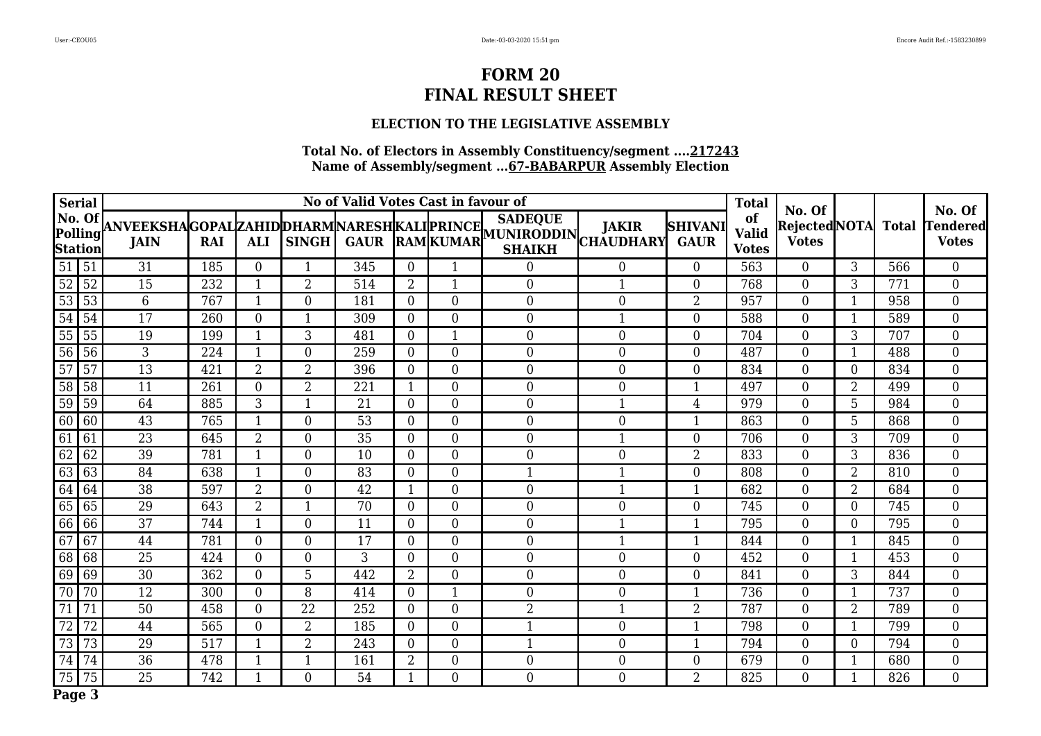## **ELECTION TO THE LEGISLATIVE ASSEMBLY**

| Serial                                                                               |                 |     |                  |                  | No of Valid Votes Cast in favour of |                |                  |                                                                                                                                                      |                  |                               | <b>Total</b>                       | No. Of                              |                |              | No. Of                          |
|--------------------------------------------------------------------------------------|-----------------|-----|------------------|------------------|-------------------------------------|----------------|------------------|------------------------------------------------------------------------------------------------------------------------------------------------------|------------------|-------------------------------|------------------------------------|-------------------------------------|----------------|--------------|---------------------------------|
| No. Of [<br>Polling<br> Station                                                      |                 |     |                  |                  |                                     |                |                  | <b>SADEQUE</b><br>ANVEEKSHAGOPALZAHIDDHARMNARESHKALIPRINCE SADEVUE JAKIR S<br>  JAIN   RAI ALI SINGH GAUR RAMKUMAR CHAIKH CHAUDHARY<br><b>SHAIKH</b> |                  | <b>SHIVANI</b><br><b>GAUR</b> | of<br><b>Valid</b><br><b>Votes</b> | <b>RejectedNOTA</b><br><b>Votes</b> |                | <b>Total</b> | <b>Tendered</b><br><b>Votes</b> |
| $\boxed{51}$ $\boxed{51}$                                                            | 31              | 185 | $\boldsymbol{0}$ | 1                | 345                                 | $\mathbf{0}$   |                  | $\Omega$                                                                                                                                             | $\overline{0}$   | $\overline{0}$                | 563                                | $\overline{0}$                      | 3              | 566          | $\overline{0}$                  |
| 52                                                                                   | 15              | 232 | $\mathbf{1}$     | $\overline{2}$   | 514                                 | $\overline{2}$ | 1                | $\boldsymbol{0}$                                                                                                                                     | 1                | $\overline{0}$                | 768                                | $\Omega$                            | 3              | 771          | $\overline{0}$                  |
| $\frac{52}{53}$ $\frac{53}{54}$<br>53                                                | $6\phantom{1}6$ | 767 | $\mathbf{1}$     | $\overline{0}$   | 181                                 | $\overline{0}$ | 0                | $\overline{0}$                                                                                                                                       | $\Omega$         | $\overline{2}$                | 957                                | $\overline{0}$                      | $\mathbf{1}$   | 958          | $\overline{0}$                  |
| 54                                                                                   | 17              | 260 | $\boldsymbol{0}$ | $\mathbf 1$      | 309                                 | $\overline{0}$ | $\overline{0}$   | $\overline{0}$                                                                                                                                       |                  | $\overline{0}$                | 588                                | $\overline{0}$                      | 1              | 589          | $\overline{0}$                  |
| 55<br>55                                                                             | 19              | 199 | $\mathbf{1}$     | 3                | 481                                 | $\overline{0}$ | 1                | $\boldsymbol{0}$                                                                                                                                     | $\boldsymbol{0}$ | $\overline{0}$                | 704                                | $\overline{0}$                      | 3              | 707          | $\boldsymbol{0}$                |
| $\overline{56}$<br>56                                                                | $\mathfrak{Z}$  | 224 | $\mathbf{1}$     | $\boldsymbol{0}$ | 259                                 | $\mathbf{0}$   | $\overline{0}$   | $\boldsymbol{0}$                                                                                                                                     | $\boldsymbol{0}$ | $\overline{0}$                | 487                                | $\overline{0}$                      | 1              | 488          | $\overline{0}$                  |
| $\overline{57}$<br>57                                                                | $\overline{13}$ | 421 | $\overline{2}$   | $\overline{2}$   | 396                                 | $\mathbf{0}$   | $\boldsymbol{0}$ | $\boldsymbol{0}$                                                                                                                                     | $\boldsymbol{0}$ | $\boldsymbol{0}$              | 834                                | $\overline{0}$                      | $\overline{0}$ | 834          | $\boldsymbol{0}$                |
| $\sqrt{58}$<br>58                                                                    | 11              | 261 | $\overline{0}$   | $\overline{2}$   | 221                                 | 1              | $\overline{0}$   | $\overline{0}$                                                                                                                                       | $\mathbf{0}$     | 1                             | 497                                | $\overline{0}$                      | $\overline{2}$ | 499          | $\overline{0}$                  |
| $\begin{array}{ c } \hline 59 \\ \hline 60 \\ \hline 61 \\ \hline \end{array}$<br>59 | 64              | 885 | 3                | $\mathbf{1}$     | 21                                  | $\overline{0}$ | 0                | $\boldsymbol{0}$                                                                                                                                     | 1                | 4                             | 979                                | $\overline{0}$                      | 5              | 984          | $\boldsymbol{0}$                |
| 60                                                                                   | 43              | 765 | $\mathbf{1}$     | $\overline{0}$   | 53                                  | $\overline{0}$ | $\overline{0}$   | $\overline{0}$                                                                                                                                       | $\overline{0}$   | $\mathbf{1}$                  | 863                                | $\overline{0}$                      | 5              | 868          | $\overline{0}$                  |
| 61                                                                                   | 23              | 645 | $\overline{2}$   | $\overline{0}$   | 35                                  | $\overline{0}$ | $\overline{0}$   | $\overline{0}$                                                                                                                                       |                  | $\overline{0}$                | 706                                | $\overline{0}$                      | 3              | 709          | $\boldsymbol{0}$                |
| $\overline{62}$<br>62                                                                | 39              | 781 | $\mathbf{1}$     | $\boldsymbol{0}$ | 10                                  | $\overline{0}$ | 0                | $\boldsymbol{0}$                                                                                                                                     | $\mathbf{0}$     | $\overline{2}$                | 833                                | $\boldsymbol{0}$                    | 3              | 836          | $\boldsymbol{0}$                |
| $\frac{6}{63}$<br>63                                                                 | 84              | 638 | $\mathbf{1}$     | $\boldsymbol{0}$ | 83                                  | $\overline{0}$ | $\boldsymbol{0}$ |                                                                                                                                                      |                  | $\overline{0}$                | 808                                | $\overline{0}$                      | 2              | 810          | $\boldsymbol{0}$                |
| $\boxed{64}$<br>  64                                                                 | $\overline{38}$ | 597 | $\overline{2}$   | $\boldsymbol{0}$ | 42                                  | -1             | $\boldsymbol{0}$ | $\boldsymbol{0}$                                                                                                                                     | 1                | 1                             | 682                                | $\boldsymbol{0}$                    | $\overline{2}$ | 684          | $\boldsymbol{0}$                |
| 65 65                                                                                | 29              | 643 | $\overline{2}$   | $\mathbf{1}$     | 70                                  | $\mathbf{0}$   | $\overline{0}$   | $\boldsymbol{0}$                                                                                                                                     | $\boldsymbol{0}$ | $\boldsymbol{0}$              | 745                                | $\overline{0}$                      | $\overline{0}$ | 745          | $\overline{0}$                  |
| $\boxed{66}$<br> 66                                                                  | 37              | 744 | $\mathbf{1}$     | $\mathbf{0}$     | 11                                  | $\mathbf{0}$   | $\boldsymbol{0}$ | $\boldsymbol{0}$                                                                                                                                     | 1                | $\mathbf{1}$                  | 795                                | $\overline{0}$                      | $\overline{0}$ | 795          | $\boldsymbol{0}$                |
| $\overline{67}$<br>67                                                                | 44              | 781 | $\mathbf{0}$     | $\overline{0}$   | 17                                  | $\overline{0}$ | 0                | $\overline{0}$                                                                                                                                       | $\mathbf{1}$     | $\mathbf{1}$                  | 844                                | $\overline{0}$                      | 1              | 845          | $\overline{0}$                  |
| 68<br>68                                                                             | 25              | 424 | $\boldsymbol{0}$ | $\boldsymbol{0}$ | 3                                   | $\mathbf{0}$   | $\overline{0}$   | $\overline{0}$                                                                                                                                       | $\overline{0}$   | $\overline{0}$                | 452                                | $\overline{0}$                      | 1              | 453          | $\boldsymbol{0}$                |
| $\boxed{69}$<br>69                                                                   | 30              | 362 | $\boldsymbol{0}$ | 5                | 442                                 | $\overline{2}$ | $\overline{0}$   | $\overline{0}$                                                                                                                                       | $\overline{0}$   | $\overline{0}$                | 841                                | $\overline{0}$                      | 3              | 844          | $\overline{0}$                  |
| $\overline{70}$<br>70                                                                | 12              | 300 | $\boldsymbol{0}$ | 8                | 414                                 | $\overline{0}$ |                  | $\boldsymbol{0}$                                                                                                                                     | $\boldsymbol{0}$ | 1                             | 736                                | $\overline{0}$                      | 1              | 737          | $\boldsymbol{0}$                |
| $\overline{71}$<br>71                                                                | 50              | 458 | $\boldsymbol{0}$ | 22               | 252                                 | $\mathbf{0}$   | $\boldsymbol{0}$ | $\overline{2}$                                                                                                                                       | $\mathbf{1}$     | $\overline{2}$                | 787                                | $\boldsymbol{0}$                    | 2              | 789          | $\boldsymbol{0}$                |
| $\overline{72}$<br>72                                                                | 44              | 565 | $\boldsymbol{0}$ | $\overline{2}$   | 185                                 | $\mathbf{0}$   | $\boldsymbol{0}$ |                                                                                                                                                      | $\boldsymbol{0}$ | 1                             | 798                                | $\overline{0}$                      | $\mathbf{1}$   | 799          | $\overline{0}$                  |
| $\boxed{73}$<br>73                                                                   | 29              | 517 | $\mathbf{1}$     | $\overline{2}$   | 243                                 | $\overline{0}$ | 0                | $\mathbf{1}$                                                                                                                                         | $\boldsymbol{0}$ | $\mathbf{1}$                  | 794                                | $\overline{0}$                      | $\overline{0}$ | 794          | $\boldsymbol{0}$                |
| $\boxed{74}$<br>74                                                                   | 36              | 478 | $\mathbf{1}$     | $\mathbf{1}$     | 161                                 | $\overline{2}$ | 0                | $\boldsymbol{0}$                                                                                                                                     | $\overline{0}$   | $\Omega$                      | 679                                | $\overline{0}$                      | 1              | 680          | $\overline{0}$                  |
| $\boxed{75}$<br>75                                                                   | 25              | 742 | $\mathbf{1}$     | $\overline{0}$   | 54                                  | $\mathbf{1}$   | $\overline{0}$   | $\overline{0}$                                                                                                                                       | $\overline{0}$   | 2                             | 825                                | $\overline{0}$                      | 1              | 826          | $\overline{0}$                  |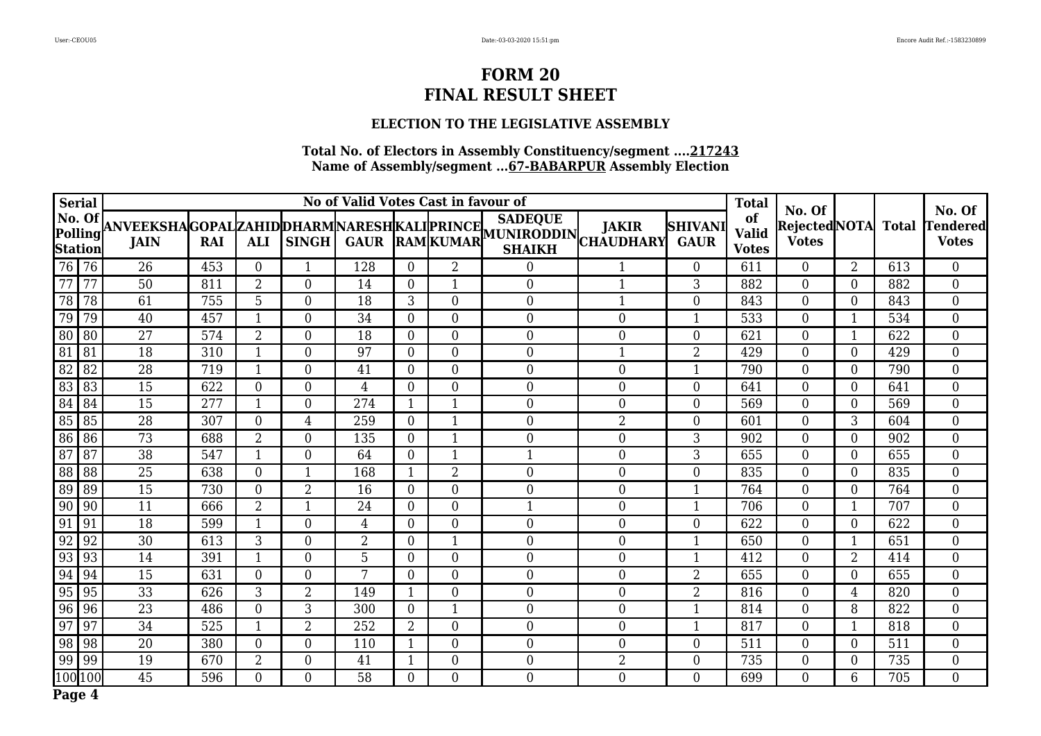## **ELECTION TO THE LEGISLATIVE ASSEMBLY**

| Serial                                                               |                                          |    |     |                  | No of Valid Votes Cast in favour of |                | <b>Total</b>   | No. Of           |                                                                                                                                                                                             |                  | No. Of                        |                                    |                                     |                  |              |                                 |
|----------------------------------------------------------------------|------------------------------------------|----|-----|------------------|-------------------------------------|----------------|----------------|------------------|---------------------------------------------------------------------------------------------------------------------------------------------------------------------------------------------|------------------|-------------------------------|------------------------------------|-------------------------------------|------------------|--------------|---------------------------------|
|                                                                      | $\vert$ No. Of $\vert$<br><b>Station</b> |    |     |                  |                                     |                |                |                  | <b>SADEQUE</b><br>NO. UI ANVEEKSHAGOPALZAHIDDHARMNARESHKALIPRINCE SALEVUE JAKIR   <br> Polling JAIN    RAI    ALI    SINGH    GAUR    RAM   KUMAR   NUNIRODDIN   CHAUDHARY<br><b>SHAIKH</b> |                  | <b>SHIVANI</b><br><b>GAUR</b> | of<br><b>Valid</b><br><b>Votes</b> | <b>RejectedNOTA</b><br><b>Votes</b> |                  | <b>Total</b> | <b>Tendered</b><br><b>Votes</b> |
| 76 76                                                                |                                          | 26 | 453 | $\overline{0}$   | $\mathbf{1}$                        | 128            | $\Omega$       | $\overline{2}$   | 0                                                                                                                                                                                           | 1                | $\overline{0}$                | 611                                | $\overline{0}$                      | $\overline{2}$   | 613          | $\boldsymbol{0}$                |
| $\overline{77}$                                                      | $\overline{77}$                          | 50 | 811 | $\overline{2}$   | $\mathbf{0}$                        | 14             | $\overline{0}$ | 1                | $\boldsymbol{0}$                                                                                                                                                                            | $\mathbf{1}$     | 3                             | 882                                | $\boldsymbol{0}$                    | $\Omega$         | 882          | $\boldsymbol{0}$                |
| 78 78                                                                |                                          | 61 | 755 | 5                | $\mathbf{0}$                        | 18             | 3              | $\mathbf{0}$     | $\mathbf{0}$                                                                                                                                                                                | $\mathbf{1}$     | 0                             | 843                                | $\boldsymbol{0}$                    | $\overline{0}$   | 843          | $\boldsymbol{0}$                |
| 79                                                                   | 79                                       | 40 | 457 | $\mathbf{1}$     | $\boldsymbol{0}$                    | 34             | $\overline{0}$ | $\overline{0}$   | $\boldsymbol{0}$                                                                                                                                                                            | $\boldsymbol{0}$ |                               | 533                                | $\boldsymbol{0}$                    |                  | 534          | $\overline{0}$                  |
| 80 80                                                                |                                          | 27 | 574 | $\overline{2}$   | $\boldsymbol{0}$                    | 18             | $\mathbf{0}$   | $\boldsymbol{0}$ | $\boldsymbol{0}$                                                                                                                                                                            | $\boldsymbol{0}$ | $\overline{0}$                | 621                                | $\boldsymbol{0}$                    |                  | 622          | $\boldsymbol{0}$                |
| $\boxed{81}$                                                         | 81                                       | 18 | 310 | 1                | $\overline{0}$                      | 97             | $\overline{0}$ | $\overline{0}$   | $\boldsymbol{0}$                                                                                                                                                                            | 1                | $\overline{2}$                | 429                                | $\overline{0}$                      | $\overline{0}$   | 429          | $\boldsymbol{0}$                |
| $\sqrt{82}$                                                          | 82                                       | 28 | 719 | $\mathbf{1}$     | $\boldsymbol{0}$                    | 41             | $\overline{0}$ | $\boldsymbol{0}$ | $\mathbf{0}$                                                                                                                                                                                | $\boldsymbol{0}$ | 1                             | 790                                | $\boldsymbol{0}$                    | $\overline{0}$   | 790          | $\boldsymbol{0}$                |
| $\boxed{83}$ $\boxed{83}$                                            |                                          | 15 | 622 | $\mathbf{0}$     | $\boldsymbol{0}$                    | $\overline{4}$ | $\overline{0}$ | $\overline{0}$   | $\mathbf{0}$                                                                                                                                                                                | $\boldsymbol{0}$ | $\Omega$                      | 641                                | $\overline{0}$                      | $\overline{0}$   | 641          | $\boldsymbol{0}$                |
| $\boxed{84}$                                                         | 84                                       | 15 | 277 | 1                | $\boldsymbol{0}$                    | 274            | 1              | 1                | $\boldsymbol{0}$                                                                                                                                                                            | $\boldsymbol{0}$ | $\overline{0}$                | 569                                | $\boldsymbol{0}$                    | $\overline{0}$   | 569          | $\boldsymbol{0}$                |
| $\begin{array}{ c c c c c }\n\hline\n85 & 85 \\ \hline\n\end{array}$ |                                          | 28 | 307 | $\overline{0}$   | $\overline{4}$                      | 259            | $\overline{0}$ | 1                | $\mathbf{0}$                                                                                                                                                                                | $\overline{2}$   | $\theta$                      | 601                                | $\boldsymbol{0}$                    | 3                | 604          | $\boldsymbol{0}$                |
| 86 86                                                                |                                          | 73 | 688 | $\overline{a}$   | $\boldsymbol{0}$                    | 135            | $\overline{0}$ | 1                | $\mathbf{0}$                                                                                                                                                                                | $\boldsymbol{0}$ | 3                             | 902                                | $\boldsymbol{0}$                    | 0                | 902          | $\boldsymbol{0}$                |
| $\boxed{87}$                                                         | 87                                       | 38 | 547 | $\mathbf{1}$     | $\boldsymbol{0}$                    | 64             | $\overline{0}$ | 1                | 1                                                                                                                                                                                           | $\boldsymbol{0}$ | 3                             | 655                                | $\boldsymbol{0}$                    | $\boldsymbol{0}$ | 655          | $\boldsymbol{0}$                |
| 88 88                                                                |                                          | 25 | 638 | $\boldsymbol{0}$ | 1                                   | 168            | $\mathbf{1}$   | $\overline{2}$   | $\boldsymbol{0}$                                                                                                                                                                            | $\boldsymbol{0}$ | $\overline{0}$                | 835                                | $\boldsymbol{0}$                    | $\overline{0}$   | 835          | $\boldsymbol{0}$                |
| 89 89                                                                |                                          | 15 | 730 | $\boldsymbol{0}$ | $\boldsymbol{2}$                    | 16             | $\mathbf{0}$   | $\boldsymbol{0}$ | $\mathbf{0}$                                                                                                                                                                                | $\boldsymbol{0}$ | 1                             | 764                                | $\boldsymbol{0}$                    | $\overline{0}$   | 764          | $\boldsymbol{0}$                |
| $\boxed{90}$ $\boxed{90}$                                            |                                          | 11 | 666 | $\overline{2}$   | $\mathbf{1}$                        | 24             | $\mathbf{0}$   | $\boldsymbol{0}$ | $\mathbf{1}$                                                                                                                                                                                | $\boldsymbol{0}$ | 1                             | 706                                | $\boldsymbol{0}$                    |                  | 707          | $\boldsymbol{0}$                |
| $\boxed{91}$                                                         | 91                                       | 18 | 599 | $\mathbf{1}$     | $\boldsymbol{0}$                    | 4              | $\overline{0}$ | $\boldsymbol{0}$ | $\boldsymbol{0}$                                                                                                                                                                            | $\boldsymbol{0}$ | $\overline{0}$                | 622                                | $\boldsymbol{0}$                    | $\overline{0}$   | 622          | $\boldsymbol{0}$                |
| $92$ 92                                                              |                                          | 30 | 613 | 3                | $\mathbf{0}$                        | $\overline{2}$ | $\overline{0}$ | $\mathbf{1}$     | $\mathbf{0}$                                                                                                                                                                                | $\boldsymbol{0}$ | 1                             | 650                                | $\boldsymbol{0}$                    | $\mathbf{1}$     | 651          | $\boldsymbol{0}$                |
| 93 93                                                                |                                          | 14 | 391 | 1                | $\boldsymbol{0}$                    | 5              | $\overline{0}$ | $\boldsymbol{0}$ | $\boldsymbol{0}$                                                                                                                                                                            | $\boldsymbol{0}$ | 1                             | 412                                | $\boldsymbol{0}$                    | 2                | 414          | $\boldsymbol{0}$                |
| 94 94                                                                |                                          | 15 | 631 | $\overline{0}$   | $\boldsymbol{0}$                    | 7              | $\overline{0}$ | $\overline{0}$   | $\boldsymbol{0}$                                                                                                                                                                            | $\overline{0}$   | $\overline{2}$                | 655                                | $\boldsymbol{0}$                    | $\overline{0}$   | 655          | $\boldsymbol{0}$                |
| 95 95                                                                |                                          | 33 | 626 | 3                | $\overline{2}$                      | 149            | 1              | $\overline{0}$   | $\boldsymbol{0}$                                                                                                                                                                            | $\boldsymbol{0}$ | $\overline{2}$                | 816                                | $\boldsymbol{0}$                    | 4                | 820          | $\boldsymbol{0}$                |
| $96 \ 96$                                                            |                                          | 23 | 486 | $\overline{0}$   | 3                                   | 300            | $\overline{0}$ | 1                | $\mathbf{0}$                                                                                                                                                                                | $\boldsymbol{0}$ | 1                             | 814                                | $\boldsymbol{0}$                    | 8                | 822          | $\boldsymbol{0}$                |
| $\boxed{97}$                                                         | 97                                       | 34 | 525 | $\mathbf{1}$     | $\overline{2}$                      | 252            | $\overline{2}$ | $\overline{0}$   | $\boldsymbol{0}$                                                                                                                                                                            | $\boldsymbol{0}$ | 1                             | 817                                | $\overline{0}$                      | $\mathbf{1}$     | 818          | $\boldsymbol{0}$                |
| $\overline{98}$                                                      | 98                                       | 20 | 380 | $\boldsymbol{0}$ | $\boldsymbol{0}$                    | 110            | $\mathbf{1}$   | $\boldsymbol{0}$ | $\boldsymbol{0}$                                                                                                                                                                            | $\boldsymbol{0}$ | $\overline{0}$                | 511                                | $\boldsymbol{0}$                    | $\overline{0}$   | 511          | $\boldsymbol{0}$                |
| $\sqrt{99}$ 99                                                       |                                          | 19 | 670 | $\overline{2}$   | $\boldsymbol{0}$                    | 41             | $\mathbf{1}$   | $\overline{0}$   | $\mathbf{0}$                                                                                                                                                                                | $\overline{2}$   | $\overline{0}$                | 735                                | $\overline{0}$                      | $\overline{0}$   | 735          | $\boldsymbol{0}$                |
|                                                                      | 100 100                                  | 45 | 596 | $\overline{0}$   | $\overline{0}$                      | 58             | $\theta$       | $\overline{0}$   | $\boldsymbol{0}$                                                                                                                                                                            | $\boldsymbol{0}$ | $\overline{0}$                | 699                                | $\overline{0}$                      | 6                | 705          | $\overline{0}$                  |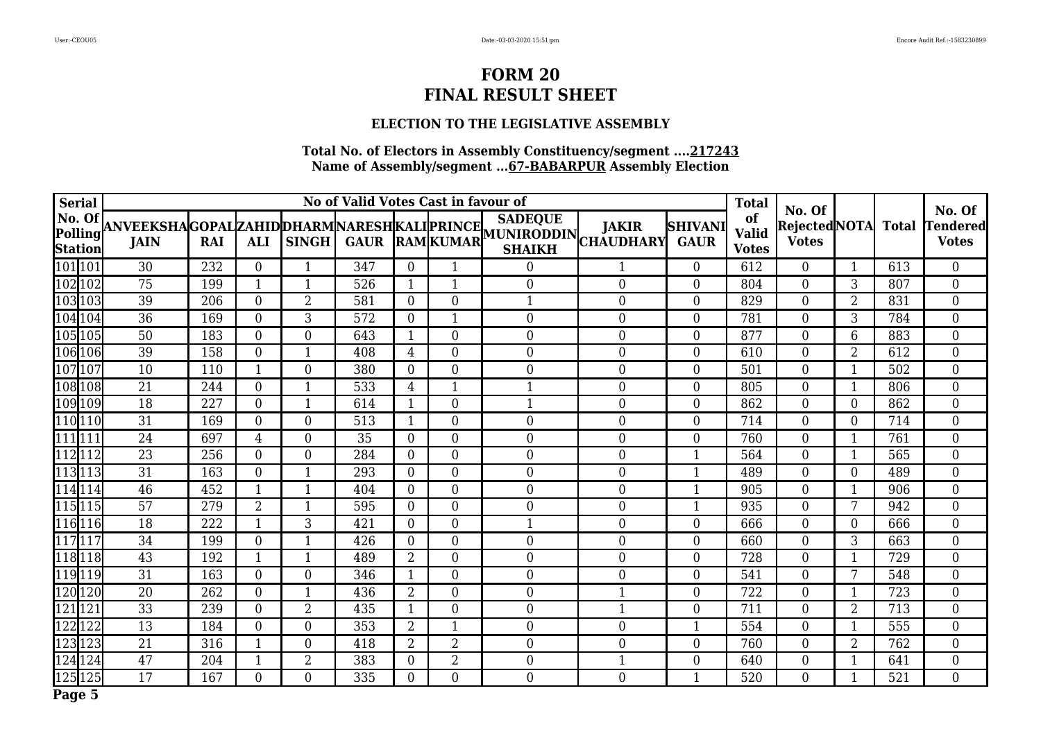## **ELECTION TO THE LEGISLATIVE ASSEMBLY**

| <b>Serial</b>                |                 |     |                  |                  | No of Valid Votes Cast in favour of |                  |                  |                                                                                                                                                                                                 |                  |                               | <b>Total</b>                       | No. Of                              |                |                  | No. Of                          |
|------------------------------|-----------------|-----|------------------|------------------|-------------------------------------|------------------|------------------|-------------------------------------------------------------------------------------------------------------------------------------------------------------------------------------------------|------------------|-------------------------------|------------------------------------|-------------------------------------|----------------|------------------|---------------------------------|
| No. Of<br>Polling<br>Station |                 |     |                  |                  |                                     |                  |                  | <b>SADEQUE</b><br> ANVEEKSHA GOPAL ZAHID DHARM NARESH KALI PRINCE   <sup>SADEQUE</sup>    JAKIR   <br>  JAIN    RAI    ALI    SINGH    GAUR   RAM  KUMAR   SHAIVH    CHAUDHARY<br><b>SHAIKH</b> |                  | <b>SHIVANI</b><br><b>GAUR</b> | of<br><b>Valid</b><br><b>Votes</b> | Rejected NOTA Total<br><b>Votes</b> |                |                  | <b>Tendered</b><br><b>Votes</b> |
| 101101                       | 30              | 232 | $\overline{0}$   |                  | 347                                 | $\theta$         | 1                | $\boldsymbol{0}$                                                                                                                                                                                |                  | $\theta$                      | 612                                | $\overline{0}$                      |                | 613              | $\overline{0}$                  |
| 102102                       | 75              | 199 | $\mathbf{1}$     | $\mathbf{1}$     | 526                                 | 1                | $\mathbf{1}$     | $\boldsymbol{0}$                                                                                                                                                                                | $\boldsymbol{0}$ | $\mathbf{0}$                  | 804                                | $\overline{0}$                      | 3              | 807              | $\boldsymbol{0}$                |
| 103103                       | 39              | 206 | $\overline{0}$   | $\overline{2}$   | 581                                 | $\overline{0}$   | $\boldsymbol{0}$ | $\mathbf{1}$                                                                                                                                                                                    | $\boldsymbol{0}$ | $\mathbf{0}$                  | 829                                | $\overline{0}$                      | 2              | 831              | $\boldsymbol{0}$                |
| 104104                       | $\overline{36}$ | 169 | $\overline{0}$   | 3                | 572                                 | $\boldsymbol{0}$ | $\mathbf{1}$     | $\boldsymbol{0}$                                                                                                                                                                                | $\mathbf{0}$     | $\theta$                      | 781                                | $\overline{0}$                      | 3              | 784              | $\boldsymbol{0}$                |
| 105105                       | 50              | 183 | $\overline{0}$   | $\boldsymbol{0}$ | 643                                 | 1                | $\boldsymbol{0}$ | $\boldsymbol{0}$                                                                                                                                                                                | $\mathbf{0}$     | $\overline{0}$                | 877                                | $\overline{0}$                      | 6              | 883              | $\boldsymbol{0}$                |
| 106106                       | 39              | 158 | $\boldsymbol{0}$ | $\mathbf{1}$     | 408                                 | $\overline{4}$   | $\boldsymbol{0}$ | $\boldsymbol{0}$                                                                                                                                                                                | $\boldsymbol{0}$ | $\theta$                      | 610                                | $\boldsymbol{0}$                    | $\overline{2}$ | 612              | $\boldsymbol{0}$                |
| 107107                       | 10              | 110 | $\mathbf{1}$     | $\boldsymbol{0}$ | 380                                 | $\overline{0}$   | $\boldsymbol{0}$ | $\overline{0}$                                                                                                                                                                                  | $\boldsymbol{0}$ | $\mathbf{0}$                  | 501                                | $\overline{0}$                      | 1              | 502              | $\boldsymbol{0}$                |
| 108108                       | 21              | 244 | $\overline{0}$   | 1                | 533                                 | $\overline{4}$   | $\mathbf{1}$     | $\mathbf{1}$                                                                                                                                                                                    | $\mathbf{0}$     | $\theta$                      | 805                                | $\boldsymbol{0}$                    | 1              | 806              | $\boldsymbol{0}$                |
| 109109                       | 18              | 227 | $\overline{0}$   | 1                | 614                                 | 1                | $\boldsymbol{0}$ | $\mathbf{1}$                                                                                                                                                                                    | $\boldsymbol{0}$ | $\overline{0}$                | 862                                | $\overline{0}$                      | $\Omega$       | 862              | $\boldsymbol{0}$                |
| 110 110                      | 31              | 169 | $\overline{0}$   | $\boldsymbol{0}$ | 513                                 | 1                | $\boldsymbol{0}$ | $\boldsymbol{0}$                                                                                                                                                                                | $\mathbf{0}$     | $\theta$                      | 714                                | $\boldsymbol{0}$                    | 0              | 714              | $\boldsymbol{0}$                |
| 111 111                      | 24              | 697 | 4                | $\boldsymbol{0}$ | 35                                  | $\overline{0}$   | $\boldsymbol{0}$ | $\boldsymbol{0}$                                                                                                                                                                                | $\boldsymbol{0}$ | $\mathbf{0}$                  | 760                                | 0                                   | 1              | 761              | $\boldsymbol{0}$                |
| 112112                       | 23              | 256 | $\overline{0}$   | $\overline{0}$   | 284                                 | $\overline{0}$   | $\boldsymbol{0}$ | $\boldsymbol{0}$                                                                                                                                                                                | $\mathbf{0}$     | $\mathbf{1}$                  | 564                                | $\boldsymbol{0}$                    | 1              | 565              | $\boldsymbol{0}$                |
| 113113                       | $\overline{31}$ | 163 | $\overline{0}$   | 1                | 293                                 | $\overline{0}$   | $\boldsymbol{0}$ | $\boldsymbol{0}$                                                                                                                                                                                | $\mathbf{0}$     | 1                             | 489                                | 0                                   | $\Omega$       | 489              | $\overline{0}$                  |
| 114 114                      | 46              | 452 | $\overline{1}$   | 1                | 404                                 | $\theta$         | $\boldsymbol{0}$ | $\boldsymbol{0}$                                                                                                                                                                                | $\mathbf{0}$     | $\mathbf{1}$                  | 905                                | $\boldsymbol{0}$                    |                | 906              | $\boldsymbol{0}$                |
| 115115                       | $\overline{57}$ | 279 | $\overline{2}$   | 1                | 595                                 | $\Omega$         | $\boldsymbol{0}$ | $\boldsymbol{0}$                                                                                                                                                                                | $\mathbf{0}$     | $\mathbf{1}$                  | 935                                | 0                                   | 7              | 942              | $\overline{0}$                  |
| 116116                       | 18              | 222 | $\mathbf{1}$     | 3                | 421                                 | $\theta$         | $\mathbf{0}$     | $\mathbf{1}$                                                                                                                                                                                    | $\mathbf{0}$     | $\theta$                      | 666                                | $\boldsymbol{0}$                    | $\overline{0}$ | 666              | $\overline{0}$                  |
| 117117                       | 34              | 199 | $\overline{0}$   | 1                | 426                                 | $\Omega$         | $\boldsymbol{0}$ | $\boldsymbol{0}$                                                                                                                                                                                | $\mathbf{0}$     | $\Omega$                      | 660                                | 0                                   | 3              | 663              | $\overline{0}$                  |
| 118118                       | 43              | 192 | $\mathbf{1}$     | -1               | 489                                 | $\overline{2}$   | $\mathbf{0}$     | $\boldsymbol{0}$                                                                                                                                                                                | $\mathbf{0}$     | $\theta$                      | 728                                | $\boldsymbol{0}$                    |                | 729              | $\boldsymbol{0}$                |
| 119119                       | $\overline{31}$ | 163 | $\overline{0}$   | $\overline{0}$   | 346                                 | 1                | $\boldsymbol{0}$ | $\boldsymbol{0}$                                                                                                                                                                                | $\mathbf{0}$     | $\mathbf{0}$                  | 541                                | 0                                   | 7              | 548              | $\overline{0}$                  |
| 120120                       | $\overline{20}$ | 262 | $\overline{0}$   | $\mathbf{1}$     | 436                                 | $\overline{2}$   | $\mathbf{0}$     | $\boldsymbol{0}$                                                                                                                                                                                |                  | $\theta$                      | 722                                | $\boldsymbol{0}$                    |                | $\overline{723}$ | $\overline{0}$                  |
| 121121                       | $\overline{33}$ | 239 | $\mathbf{0}$     | $\overline{2}$   | 435                                 | -1               | $\boldsymbol{0}$ | $\boldsymbol{0}$                                                                                                                                                                                |                  | $\Omega$                      | 711                                | $\boldsymbol{0}$                    | $\overline{2}$ | 713              | $\boldsymbol{0}$                |
| 122122                       | 13              | 184 | $\overline{0}$   | $\overline{0}$   | 353                                 | $\overline{2}$   | $\mathbf{1}$     | $\boldsymbol{0}$                                                                                                                                                                                | $\mathbf{0}$     | $\mathbf{1}$                  | 554                                | $\boldsymbol{0}$                    |                | 555              | $\boldsymbol{0}$                |
| 123123                       | 21              | 316 | $\mathbf{1}$     | $\overline{0}$   | 418                                 | 2                | $\overline{2}$   | $\boldsymbol{0}$                                                                                                                                                                                | $\overline{0}$   | $\Omega$                      | 760                                | 0                                   | $\overline{2}$ | 762              | $\overline{0}$                  |
| 124124                       | 47              | 204 | $\overline{1}$   | $\overline{2}$   | 383                                 | $\overline{0}$   | $\overline{2}$   | $\boldsymbol{0}$                                                                                                                                                                                |                  | $\theta$                      | 640                                | $\boldsymbol{0}$                    |                | 641              | $\boldsymbol{0}$                |
| 125125                       | 17              | 167 | $\overline{0}$   | $\boldsymbol{0}$ | 335                                 | $\overline{0}$   | $\boldsymbol{0}$ | $\boldsymbol{0}$                                                                                                                                                                                | $\mathbf{0}$     | $\mathbf{1}$                  | 520                                | $\overline{0}$                      |                | 521              | $\overline{0}$                  |
| Page 5                       |                 |     |                  |                  |                                     |                  |                  |                                                                                                                                                                                                 |                  |                               |                                    |                                     |                |                  |                                 |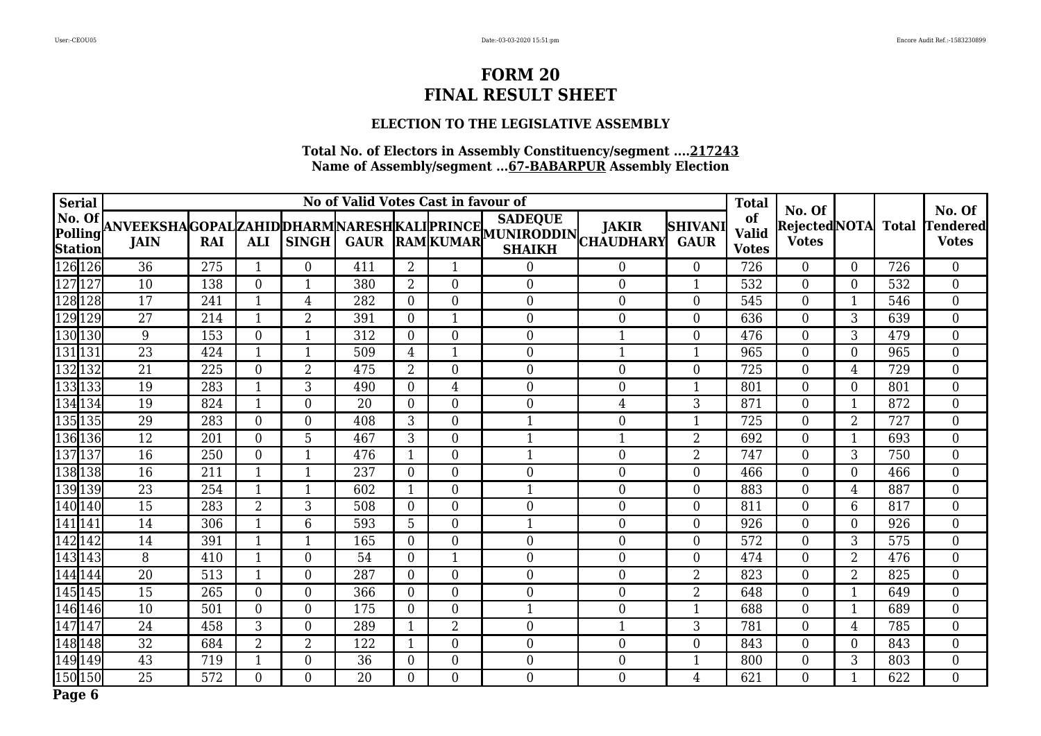## **ELECTION TO THE LEGISLATIVE ASSEMBLY**

| <b>Serial</b>                               |                 |     |                  |                         | No of Valid Votes Cast in favour of |                |                  |                                                                                                                                                                                            |                |                               | <b>Total</b>                       | No. Of                              |                |     | No. Of                          |
|---------------------------------------------|-----------------|-----|------------------|-------------------------|-------------------------------------|----------------|------------------|--------------------------------------------------------------------------------------------------------------------------------------------------------------------------------------------|----------------|-------------------------------|------------------------------------|-------------------------------------|----------------|-----|---------------------------------|
| No. Of<br> Polling  <del> </del><br>Station |                 |     |                  |                         |                                     |                |                  | <b>SADEQUE</b><br> ANVEEKSHA GOPAL ZAHID DHARM NARESH KALI PRINCE   <sup>SADEQUE</sup>    JAKIR   S<br>  JAIN   RAI   ALI   SINGH  GAUR  RAM  KUMAR   SHAIKH   CHAUDHARY <br><b>SHAIKH</b> |                | <b>SHIVANI</b><br><b>GAUR</b> | of<br><b>Valid</b><br><b>Votes</b> | Rejected NOTA Total<br><b>Votes</b> |                |     | <b>Tendered</b><br><b>Votes</b> |
| 126126                                      | 36              | 275 | $\mathbf{1}$     | $\overline{0}$          | 411                                 | 2              | 1                | $\boldsymbol{0}$                                                                                                                                                                           | $\overline{0}$ | $\overline{0}$                | 726                                | $\overline{0}$                      | $\Omega$       | 726 | $\overline{0}$                  |
| 127127                                      | 10              | 138 | $\boldsymbol{0}$ | $\mathbf{1}$            | 380                                 | $\overline{2}$ | $\mathbf{0}$     | $\boldsymbol{0}$                                                                                                                                                                           | $\mathbf{0}$   | $\mathbf{1}$                  | 532                                | $\boldsymbol{0}$                    | $\overline{0}$ | 532 | $\boldsymbol{0}$                |
| 128128                                      | 17              | 241 | $\mathbf{1}$     | 4                       | 282                                 | $\overline{0}$ | $\overline{0}$   | $\boldsymbol{0}$                                                                                                                                                                           | $\mathbf{0}$   | $\boldsymbol{0}$              | 545                                | $\overline{0}$                      |                | 546 | $\overline{0}$                  |
| 129 129                                     | $\overline{27}$ | 214 | $\overline{1}$   | $\overline{2}$          | 391                                 | $\overline{0}$ | $\mathbf{1}$     | $\mathbf{0}$                                                                                                                                                                               | $\mathbf{0}$   | $\boldsymbol{0}$              | 636                                | $\boldsymbol{0}$                    | 3              | 639 | $\overline{0}$                  |
| 130 130                                     | 9               | 153 | $\overline{0}$   | $\overline{\mathbf{1}}$ | 312                                 | $\overline{0}$ | $\mathbf{0}$     | $\boldsymbol{0}$                                                                                                                                                                           |                | $\overline{0}$                | 476                                | $\boldsymbol{0}$                    | 3              | 479 | $\overline{0}$                  |
| 131 131                                     | $\overline{23}$ | 424 | $\mathbf{1}$     | $\mathbf{1}$            | 509                                 | $\overline{4}$ | $\mathbf{1}$     | $\boldsymbol{0}$                                                                                                                                                                           | $\mathbf{1}$   | $\mathbf{1}$                  | 965                                | $\boldsymbol{0}$                    | $\overline{0}$ | 965 | $\overline{0}$                  |
| 132132                                      | $\overline{21}$ | 225 | $\overline{0}$   | $\overline{2}$          | 475                                 | 2              | $\overline{0}$   | $\boldsymbol{0}$                                                                                                                                                                           | $\overline{0}$ | $\overline{0}$                | 725                                | $\overline{0}$                      | $\overline{4}$ | 729 | $\overline{0}$                  |
| 133133                                      | 19              | 283 | $\mathbf{1}$     | 3                       | 490                                 | $\theta$       | $\overline{4}$   | $\boldsymbol{0}$                                                                                                                                                                           | $\overline{0}$ | $\mathbf{1}$                  | 801                                | $\boldsymbol{0}$                    | $\overline{0}$ | 801 | $\overline{0}$                  |
| 134134                                      | 19              | 824 | $\mathbf{1}$     | $\overline{0}$          | 20                                  | $\Omega$       | $\mathbf{0}$     | $\boldsymbol{0}$                                                                                                                                                                           | $\overline{4}$ | 3                             | 871                                | $\overline{0}$                      |                | 872 | $\overline{0}$                  |
| 135 135                                     | 29              | 283 | $\overline{0}$   | $\overline{0}$          | 408                                 | 3              | $\mathbf{0}$     | $\mathbf{1}$                                                                                                                                                                               | $\mathbf{0}$   | $\mathbf{1}$                  | 725                                | $\boldsymbol{0}$                    | $\overline{2}$ | 727 | $\overline{0}$                  |
| 136136                                      | 12              | 201 | $\overline{0}$   | 5                       | 467                                 | 3              | $\overline{0}$   | $\mathbf{1}$                                                                                                                                                                               | $\mathbf{1}$   | $\overline{2}$                | 692                                | $\overline{0}$                      | 1              | 693 | $\overline{0}$                  |
| 137137                                      | 16              | 250 | $\overline{0}$   | $\mathbf{1}$            | 476                                 | $\mathbf{1}$   | $\mathbf{0}$     | $\mathbf{1}$                                                                                                                                                                               | $\overline{0}$ | $\overline{2}$                | 747                                | $\boldsymbol{0}$                    | 3              | 750 | $\overline{0}$                  |
| 138 138                                     | 16              | 211 | $\mathbf{1}$     | $\mathbf{1}$            | 237                                 | $\Omega$       | $\overline{0}$   | $\boldsymbol{0}$                                                                                                                                                                           | $\mathbf{0}$   | $\boldsymbol{0}$              | 466                                | $\overline{0}$                      | $\overline{0}$ | 466 | $\boldsymbol{0}$                |
| 139 139                                     | $\overline{23}$ | 254 | $\mathbf{1}$     | $\mathbf{1}$            | 602                                 | $\mathbf{1}$   | $\mathbf{0}$     | $\mathbf{1}$                                                                                                                                                                               | $\mathbf{0}$   | $\overline{0}$                | 883                                | $\boldsymbol{0}$                    | $\overline{4}$ | 887 | $\boldsymbol{0}$                |
| 140140                                      | 15              | 283 | $\overline{2}$   | 3                       | 508                                 | $\Omega$       | $\overline{0}$   | $\boldsymbol{0}$                                                                                                                                                                           | $\mathbf{0}$   | $\overline{0}$                | 811                                | $\overline{0}$                      | 6              | 817 | $\boldsymbol{0}$                |
| 141 141                                     | 14              | 306 | $\mathbf{1}$     | 6                       | 593                                 | 5              | $\overline{0}$   | $\mathbf{1}$                                                                                                                                                                               | $\mathbf{0}$   | $\overline{0}$                | 926                                | $\boldsymbol{0}$                    | $\overline{0}$ | 926 | $\boldsymbol{0}$                |
| 142142                                      | 14              | 391 | $\mathbf{1}$     | 1                       | 165                                 | $\theta$       | $\boldsymbol{0}$ | $\boldsymbol{0}$                                                                                                                                                                           | $\mathbf{0}$   | $\boldsymbol{0}$              | 572                                | $\boldsymbol{0}$                    | 3              | 575 | $\boldsymbol{0}$                |
| 143143                                      | 8               | 410 | $\mathbf{1}$     | $\mathbf{0}$            | 54                                  | $\overline{0}$ | $\mathbf{1}$     | $\boldsymbol{0}$                                                                                                                                                                           | $\mathbf{0}$   | $\mathbf{0}$                  | 474                                | $\boldsymbol{0}$                    | $\overline{2}$ | 476 | $\overline{0}$                  |
| 144144                                      | $\overline{20}$ | 513 | $\mathbf{1}$     | $\mathbf{0}$            | 287                                 | $\Omega$       | $\overline{0}$   | $\boldsymbol{0}$                                                                                                                                                                           | $\mathbf{0}$   | $\overline{2}$                | 823                                | $\overline{0}$                      | $\overline{2}$ | 825 | $\overline{0}$                  |
| 145145                                      | $\overline{15}$ | 265 | $\overline{0}$   | $\overline{0}$          | 366                                 | $\overline{0}$ | $\mathbf{0}$     | $\mathbf{0}$                                                                                                                                                                               | $\overline{0}$ | $\overline{2}$                | 648                                | $\boldsymbol{0}$                    |                | 649 | $\overline{0}$                  |
| 146 146                                     | 10              | 501 | $\overline{0}$   | $\overline{0}$          | 175                                 | $\Omega$       | $\overline{0}$   | $\mathbf{1}$                                                                                                                                                                               | $\overline{0}$ | $\mathbf{1}$                  | 688                                | $\boldsymbol{0}$                    |                | 689 | $\overline{0}$                  |
| 147147                                      | 24              | 458 | 3                | $\overline{0}$          | 289                                 | 1              | $\overline{2}$   | $\boldsymbol{0}$                                                                                                                                                                           | $\mathbf{1}$   | 3                             | 781                                | $\boldsymbol{0}$                    | $\overline{4}$ | 785 | $\boldsymbol{0}$                |
| 148148                                      | $\overline{32}$ | 684 | $\overline{2}$   | $\overline{2}$          | 122                                 | $\mathbf{1}$   | $\overline{0}$   | $\boldsymbol{0}$                                                                                                                                                                           | $\overline{0}$ | $\overline{0}$                | 843                                | $\overline{0}$                      | $\Omega$       | 843 | $\overline{0}$                  |
| 149149                                      | $\overline{43}$ | 719 | $\mathbf{1}$     | $\mathbf{0}$            | $\overline{36}$                     | $\overline{0}$ | $\mathbf{0}$     | $\boldsymbol{0}$                                                                                                                                                                           | $\mathbf{0}$   | $\mathbf{1}$                  | 800                                | $\boldsymbol{0}$                    | 3              | 803 | $\boldsymbol{0}$                |
| 150 150                                     | $\overline{25}$ | 572 | $\boldsymbol{0}$ | $\overline{0}$          | 20                                  | $\overline{0}$ | $\overline{0}$   | $\boldsymbol{0}$                                                                                                                                                                           | $\overline{0}$ | $\overline{4}$                | 621                                | $\overline{0}$                      |                | 622 | $\overline{0}$                  |
| Page 6                                      |                 |     |                  |                         |                                     |                |                  |                                                                                                                                                                                            |                |                               |                                    |                                     |                |     |                                 |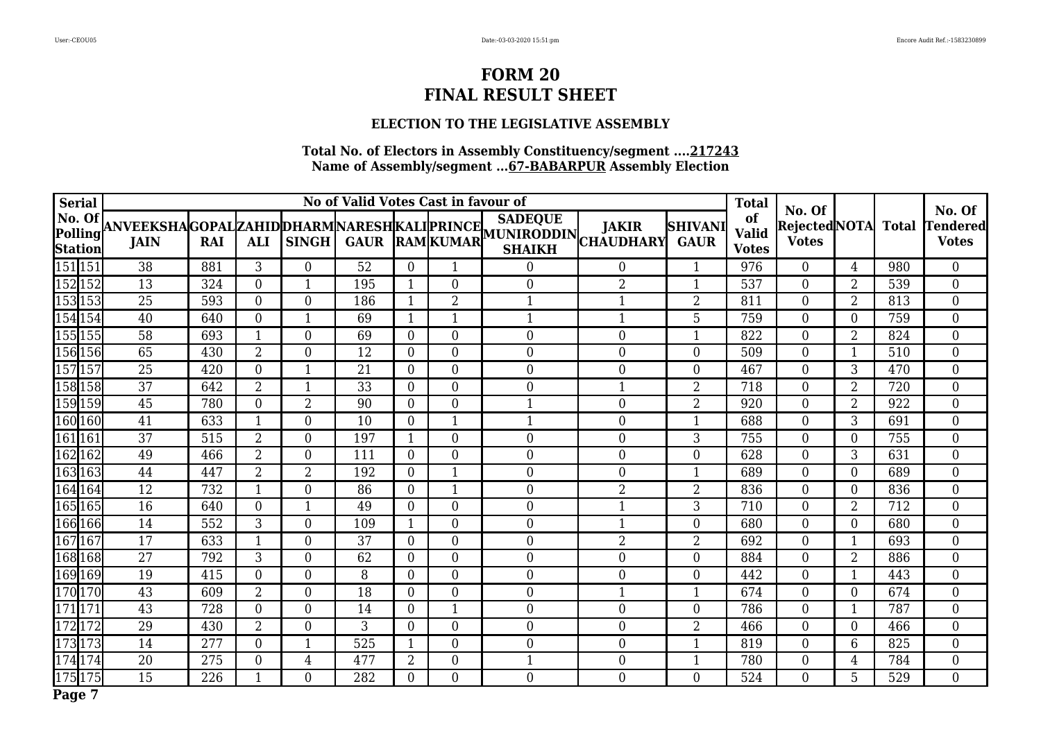## **ELECTION TO THE LEGISLATIVE ASSEMBLY**

| <b>Serial</b>                |                 |     |                         |                  | No of Valid Votes Cast in favour of |                  |                  |                                                                                                                                                                                                 |                  |                               | <b>Total</b>                       | No. Of                       |                  |       | No. Of                          |
|------------------------------|-----------------|-----|-------------------------|------------------|-------------------------------------|------------------|------------------|-------------------------------------------------------------------------------------------------------------------------------------------------------------------------------------------------|------------------|-------------------------------|------------------------------------|------------------------------|------------------|-------|---------------------------------|
| No. Of<br>Polling<br>Station |                 |     |                         |                  |                                     |                  |                  | <b>SADEQUE</b><br> ANVEEKSHA GOPAL ZAHID DHARM NARESH KALI PRINCE   <sup>SADEQUE</sup>    JAKIR   <br>  JAIN    RAI    ALI    SINGH    GAUR   RAM  KUMAR   SHAIVH    CHAUDHARY<br><b>SHAIKH</b> |                  | <b>SHIVANI</b><br><b>GAUR</b> | of<br><b>Valid</b><br><b>Votes</b> | RejectedNOTA<br><b>Votes</b> |                  | Total | <b>Tendered</b><br><b>Votes</b> |
| 151151                       | 38              | 881 | 3                       | $\overline{0}$   | 52                                  | $\theta$         | 1                | $\boldsymbol{0}$                                                                                                                                                                                | $\bf{0}$         | 1                             | 976                                | $\overline{0}$               | 4                | 980   | $\overline{0}$                  |
| 152152                       | 13              | 324 | $\overline{0}$          | $\mathbf{1}$     | 195                                 | $\mathbf{1}$     | $\boldsymbol{0}$ | $\boldsymbol{0}$                                                                                                                                                                                | $\overline{2}$   | $\mathbf{1}$                  | 537                                | $\overline{0}$               | $\overline{2}$   | 539   | $\boldsymbol{0}$                |
| 153153                       | 25              | 593 | $\overline{0}$          | $\overline{0}$   | 186                                 | $\mathbf{1}$     | $\overline{2}$   | $\mathbf{1}$                                                                                                                                                                                    | $\mathbf{1}$     | $\overline{2}$                | 811                                | $\overline{0}$               | 2                | 813   | $\overline{0}$                  |
| 154154                       | 40              | 640 | $\overline{0}$          | $\mathbf{1}$     | 69                                  | $\mathbf{1}$     | $\mathbf{1}$     | $\mathbf{1}$                                                                                                                                                                                    | $\mathbf{1}$     | 5                             | 759                                | $\boldsymbol{0}$             | $\boldsymbol{0}$ | 759   | $\boldsymbol{0}$                |
| 155 155                      | 58              | 693 | 1                       | $\boldsymbol{0}$ | 69                                  | $\boldsymbol{0}$ | $\boldsymbol{0}$ | $\boldsymbol{0}$                                                                                                                                                                                | $\mathbf{0}$     | $\mathbf{1}$                  | 822                                | $\overline{0}$               | $\overline{2}$   | 824   | $\boldsymbol{0}$                |
| 156156                       | 65              | 430 | $\overline{2}$          | $\boldsymbol{0}$ | 12                                  | $\overline{0}$   | $\boldsymbol{0}$ | $\boldsymbol{0}$                                                                                                                                                                                | $\boldsymbol{0}$ | $\mathbf{0}$                  | 509                                | $\boldsymbol{0}$             |                  | 510   | $\boldsymbol{0}$                |
| 157157                       | 25              | 420 | $\overline{0}$          | $\mathbf{1}$     | 21                                  | $\overline{0}$   | $\boldsymbol{0}$ | $\overline{0}$                                                                                                                                                                                  | $\boldsymbol{0}$ | $\mathbf{0}$                  | 467                                | $\overline{0}$               | 3                | 470   | $\boldsymbol{0}$                |
| 158158                       | 37              | 642 | $\overline{2}$          | 1                | 33                                  | $\overline{0}$   | $\boldsymbol{0}$ | $\boldsymbol{0}$                                                                                                                                                                                | $\mathbf{1}$     | $\overline{2}$                | 718                                | $\boldsymbol{0}$             | $\overline{2}$   | 720   | $\boldsymbol{0}$                |
| 159159                       | 45              | 780 | $\overline{0}$          | $\overline{2}$   | 90                                  | $\overline{0}$   | $\boldsymbol{0}$ | $\mathbf{1}$                                                                                                                                                                                    | $\boldsymbol{0}$ | $\overline{2}$                | 920                                | 0                            | $\overline{2}$   | 922   | $\boldsymbol{0}$                |
| 160160                       | 41              | 633 | 1                       | $\boldsymbol{0}$ | 10                                  | $\overline{0}$   | $\mathbf{1}$     | $\mathbf{1}$                                                                                                                                                                                    | $\mathbf{0}$     | $\mathbf{1}$                  | 688                                | $\boldsymbol{0}$             | 3                | 691   | $\boldsymbol{0}$                |
| 161 161                      | $\overline{37}$ | 515 | $\overline{2}$          | $\boldsymbol{0}$ | 197                                 | 1                | $\boldsymbol{0}$ | $\boldsymbol{0}$                                                                                                                                                                                | $\boldsymbol{0}$ | 3                             | 755                                | 0                            | $\overline{0}$   | 755   | $\overline{0}$                  |
| 162 162                      | 49              | 466 | 2                       | $\overline{0}$   | 111                                 | $\overline{0}$   | $\boldsymbol{0}$ | $\boldsymbol{0}$                                                                                                                                                                                | $\mathbf{0}$     | $\theta$                      | 628                                | $\boldsymbol{0}$             | 3                | 631   | $\boldsymbol{0}$                |
| 163 163                      | 44              | 447 | $\overline{2}$          | $\overline{2}$   | 192                                 | $\Omega$         | $\mathbf{1}$     | $\boldsymbol{0}$                                                                                                                                                                                | $\mathbf{0}$     | 1                             | 689                                | 0                            | $\Omega$         | 689   | $\overline{0}$                  |
| 164164                       | $\overline{12}$ | 732 | $\overline{1}$          | $\overline{0}$   | 86                                  | $\theta$         | $\mathbf{1}$     | $\boldsymbol{0}$                                                                                                                                                                                | $\overline{2}$   | $\overline{2}$                | 836                                | $\boldsymbol{0}$             | $\overline{0}$   | 836   | $\boldsymbol{0}$                |
| 165165                       | 16              | 640 | $\overline{0}$          | $\mathbf{1}$     | 49                                  | $\overline{0}$   | $\boldsymbol{0}$ | $\overline{0}$                                                                                                                                                                                  |                  | 3                             | 710                                | 0                            | $\overline{2}$   | 712   | $\overline{0}$                  |
| 166166                       | 14              | 552 | 3                       | $\overline{0}$   | 109                                 | 1                | $\mathbf{0}$     | $\boldsymbol{0}$                                                                                                                                                                                |                  | $\theta$                      | 680                                | $\boldsymbol{0}$             | $\overline{0}$   | 680   | $\overline{0}$                  |
| 167167                       | 17              | 633 | $\mathbf{1}$            | $\overline{0}$   | 37                                  | $\Omega$         | $\boldsymbol{0}$ | $\boldsymbol{0}$                                                                                                                                                                                | $\overline{2}$   | $\overline{2}$                | 692                                | 0                            |                  | 693   | $\overline{0}$                  |
| 168 168                      | $\overline{27}$ | 792 | 3                       | $\overline{0}$   | 62                                  | $\theta$         | $\mathbf{0}$     | $\boldsymbol{0}$                                                                                                                                                                                | $\mathbf{0}$     | $\theta$                      | 884                                | $\boldsymbol{0}$             | $\overline{2}$   | 886   | $\boldsymbol{0}$                |
| 169169                       | 19              | 415 | $\overline{0}$          | $\overline{0}$   | 8                                   | $\Omega$         | $\boldsymbol{0}$ | $\overline{0}$                                                                                                                                                                                  | $\mathbf{0}$     | $\overline{0}$                | 442                                | 0                            |                  | 443   | $\overline{0}$                  |
| 170 170                      | $\overline{43}$ | 609 | $\overline{2}$          | $\overline{0}$   | 18                                  | $\overline{0}$   | $\overline{0}$   | $\boldsymbol{0}$                                                                                                                                                                                |                  | $\mathbf{1}$                  | 674                                | $\overline{0}$               | $\overline{0}$   | 674   | $\overline{0}$                  |
| 171171                       | 43              | 728 | 0                       | $\overline{0}$   | 14                                  | $\Omega$         | $\mathbf{1}$     | $\boldsymbol{0}$                                                                                                                                                                                | $\mathbf{0}$     | $\Omega$                      | 786                                | $\boldsymbol{0}$             |                  | 787   | $\boldsymbol{0}$                |
| 172172                       | 29              | 430 | $\overline{2}$          | $\overline{0}$   | 3                                   | $\theta$         | $\boldsymbol{0}$ | $\boldsymbol{0}$                                                                                                                                                                                | $\mathbf{0}$     | $\overline{2}$                | 466                                | $\boldsymbol{0}$             | $\overline{0}$   | 466   | $\boldsymbol{0}$                |
| 173173                       | 14              | 277 | $\overline{0}$          | $\mathbf{1}$     | 525                                 | 1                | $\boldsymbol{0}$ | $\overline{0}$                                                                                                                                                                                  | $\mathbf{0}$     | $\mathbf{1}$                  | 819                                | 0                            | 6                | 825   | $\overline{0}$                  |
| 174174                       | 20              | 275 | $\overline{0}$          | 4                | 477                                 | $\overline{2}$   | $\boldsymbol{0}$ | $\mathbf{1}$                                                                                                                                                                                    | $\mathbf{0}$     | $\mathbf{1}$                  | 780                                | $\boldsymbol{0}$             | 4                | 784   | $\boldsymbol{0}$                |
| 175175                       | 15              | 226 | $\overline{\mathbf{1}}$ | $\boldsymbol{0}$ | 282                                 | $\overline{0}$   | $\boldsymbol{0}$ | $\boldsymbol{0}$                                                                                                                                                                                | $\mathbf{0}$     | $\overline{0}$                | 524                                | $\overline{0}$               | $5\overline{)}$  | 529   | $\overline{0}$                  |
| Page 7                       |                 |     |                         |                  |                                     |                  |                  |                                                                                                                                                                                                 |                  |                               |                                    |                              |                  |       |                                 |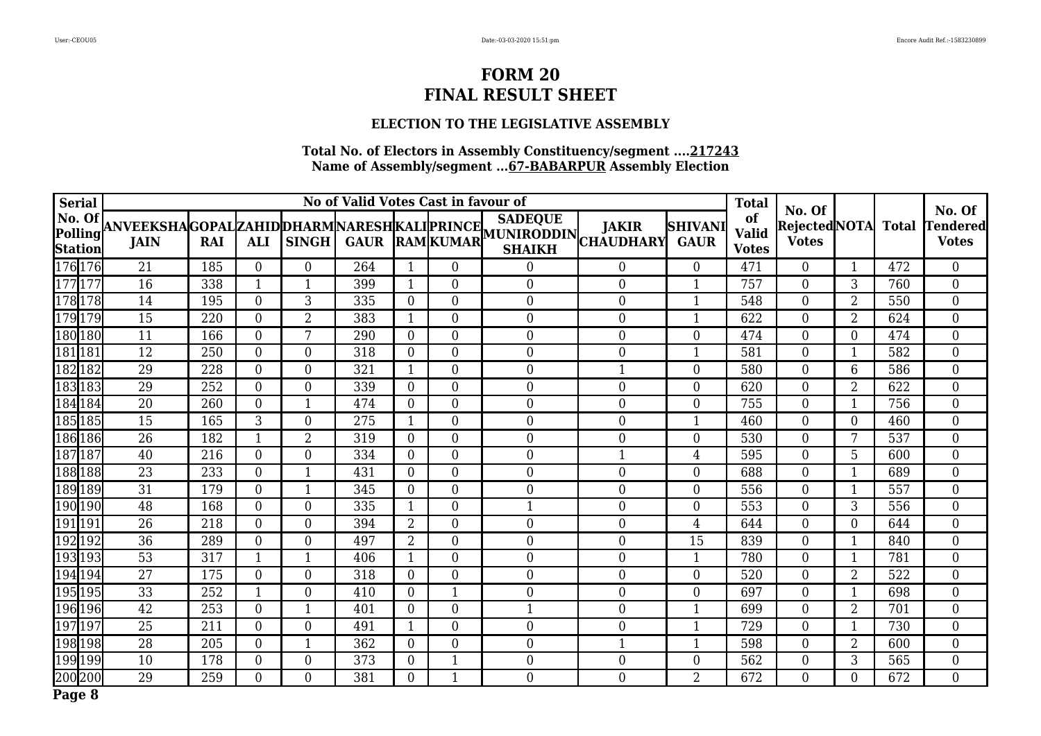## **ELECTION TO THE LEGISLATIVE ASSEMBLY**

| <b>Serial</b>                |                 |     |                  |                         | No of Valid Votes Cast in favour of |                |                  | <b>Total</b>                                                                                                                                                                               | No. Of         |                               |                                    | No. Of                              |                |     |                                 |
|------------------------------|-----------------|-----|------------------|-------------------------|-------------------------------------|----------------|------------------|--------------------------------------------------------------------------------------------------------------------------------------------------------------------------------------------|----------------|-------------------------------|------------------------------------|-------------------------------------|----------------|-----|---------------------------------|
| No. Of<br>Polling<br>Station |                 |     |                  |                         |                                     |                |                  | <b>SADEQUE</b><br> ANVEEKSHA GOPAL ZAHID DHARM NARESH KALI PRINCE   <sup>SADEQUE</sup>    JAKIR   S<br>  JAIN   RAI   ALI   SINGH  GAUR  RAM  KUMAR   SHAIKH   CHAUDHARY <br><b>SHAIKH</b> |                | <b>SHIVANI</b><br><b>GAUR</b> | of<br><b>Valid</b><br><b>Votes</b> | Rejected NOTA Total<br><b>Votes</b> |                |     | <b>Tendered</b><br><b>Votes</b> |
| 176176                       | 21              | 185 | $\overline{0}$   | $\overline{0}$          | 264                                 | -1             | $\overline{0}$   | $\boldsymbol{0}$                                                                                                                                                                           | $\overline{0}$ | $\overline{0}$                | 471                                | $\overline{0}$                      |                | 472 | $\overline{0}$                  |
| 177177                       | $\overline{16}$ | 338 | $\mathbf{1}$     | $\mathbf{1}$            | 399                                 | 1              | $\mathbf{0}$     | $\boldsymbol{0}$                                                                                                                                                                           | $\mathbf{0}$   | $\mathbf{1}$                  | 757                                | $\boldsymbol{0}$                    | 3              | 760 | $\boldsymbol{0}$                |
| 178178                       | 14              | 195 | $\boldsymbol{0}$ | 3                       | 335                                 | $\overline{0}$ | $\overline{0}$   | $\boldsymbol{0}$                                                                                                                                                                           | $\mathbf{0}$   | $\mathbf{1}$                  | 548                                | $\overline{0}$                      | 2              | 550 | $\overline{0}$                  |
| 179179                       | $\overline{15}$ | 220 | $\boldsymbol{0}$ | $\overline{2}$          | 383                                 | $\mathbf{1}$   | $\mathbf{0}$     | $\mathbf{0}$                                                                                                                                                                               | $\mathbf{0}$   | $\mathbf{1}$                  | 622                                | $\boldsymbol{0}$                    | $\overline{2}$ | 624 | $\overline{0}$                  |
| 180180                       | 11              | 166 | $\overline{0}$   | 7                       | 290                                 | $\overline{0}$ | $\mathbf{0}$     | $\boldsymbol{0}$                                                                                                                                                                           | $\overline{0}$ | $\overline{0}$                | 474                                | $\overline{0}$                      | $\overline{0}$ | 474 | $\overline{0}$                  |
| 181 181                      | $\overline{12}$ | 250 | $\overline{0}$   | $\overline{0}$          | 318                                 | $\theta$       | $\mathbf{0}$     | $\boldsymbol{0}$                                                                                                                                                                           | $\overline{0}$ | $\mathbf{1}$                  | 581                                | $\boldsymbol{0}$                    | $\mathbf{1}$   | 582 | $\overline{0}$                  |
| 182182                       | 29              | 228 | $\overline{0}$   | $\overline{0}$          | 321                                 | $\mathbf{1}$   | $\overline{0}$   | $\boldsymbol{0}$                                                                                                                                                                           | $\mathbf{1}$   | $\overline{0}$                | 580                                | $\overline{0}$                      | 6              | 586 | $\overline{0}$                  |
| 183183                       | 29              | 252 | $\overline{0}$   | $\overline{0}$          | 339                                 | $\theta$       | $\overline{0}$   | $\boldsymbol{0}$                                                                                                                                                                           | $\overline{0}$ | $\overline{0}$                | 620                                | $\overline{0}$                      | $\overline{2}$ | 622 | $\overline{0}$                  |
| 184184                       | $\overline{20}$ | 260 | $\overline{0}$   | $\overline{\mathbf{1}}$ | 474                                 | $\Omega$       | $\mathbf{0}$     | $\boldsymbol{0}$                                                                                                                                                                           | $\overline{0}$ | $\overline{0}$                | 755                                | $\boldsymbol{0}$                    | 1              | 756 | $\overline{0}$                  |
| 185  185                     | $\overline{15}$ | 165 | 3                | $\overline{0}$          | 275                                 | $\mathbf 1$    | $\mathbf{0}$     | $\boldsymbol{0}$                                                                                                                                                                           | $\mathbf{0}$   | $\mathbf{1}$                  | 460                                | $\boldsymbol{0}$                    | $\overline{0}$ | 460 | $\overline{0}$                  |
| 186186                       | $\overline{26}$ | 182 | $\mathbf{1}$     | $\overline{2}$          | 319                                 | $\Omega$       | $\overline{0}$   | $\boldsymbol{0}$                                                                                                                                                                           | $\mathbf{0}$   | $\overline{0}$                | 530                                | $\overline{0}$                      | 7              | 537 | $\overline{0}$                  |
| 187187                       | 40              | 216 | $\overline{0}$   | $\overline{0}$          | 334                                 | $\theta$       | $\mathbf{0}$     | $\boldsymbol{0}$                                                                                                                                                                           | $\mathbf{1}$   | $\overline{4}$                | 595                                | $\boldsymbol{0}$                    | 5              | 600 | $\overline{0}$                  |
| 188188                       | $\overline{23}$ | 233 | $\boldsymbol{0}$ | $\mathbf{1}$            | 431                                 | $\Omega$       | $\overline{0}$   | $\boldsymbol{0}$                                                                                                                                                                           | $\mathbf{0}$   | $\overline{0}$                | 688                                | $\boldsymbol{0}$                    |                | 689 | $\boldsymbol{0}$                |
| 189189                       | $\overline{31}$ | 179 | $\boldsymbol{0}$ | $\mathbf{1}$            | 345                                 | $\theta$       | $\mathbf{0}$     | $\boldsymbol{0}$                                                                                                                                                                           | $\mathbf{0}$   | $\overline{0}$                | 556                                | $\boldsymbol{0}$                    |                | 557 | $\boldsymbol{0}$                |
| 190190                       | 48              | 168 | $\boldsymbol{0}$ | $\boldsymbol{0}$        | 335                                 | $\mathbf{1}$   | $\overline{0}$   | $\mathbf{1}$                                                                                                                                                                               | $\mathbf{0}$   | $\overline{0}$                | 553                                | $\overline{0}$                      | 3              | 556 | $\boldsymbol{0}$                |
| 191191                       | 26              | 218 | $\boldsymbol{0}$ | $\mathbf{0}$            | 394                                 | $\overline{2}$ | $\boldsymbol{0}$ | $\boldsymbol{0}$                                                                                                                                                                           | $\mathbf{0}$   | $\overline{4}$                | 644                                | $\boldsymbol{0}$                    | $\overline{0}$ | 644 | $\overline{0}$                  |
| 192192                       | $\overline{36}$ | 289 | $\boldsymbol{0}$ | $\mathbf{0}$            | 497                                 | $\overline{2}$ | $\boldsymbol{0}$ | $\boldsymbol{0}$                                                                                                                                                                           | $\mathbf{0}$   | 15                            | 839                                | $\boldsymbol{0}$                    |                | 840 | $\boldsymbol{0}$                |
| 193193                       | $\overline{53}$ | 317 | $\mathbf{1}$     | $\mathbf{1}$            | 406                                 | 1              | $\mathbf{0}$     | $\boldsymbol{0}$                                                                                                                                                                           | $\mathbf{0}$   | $\mathbf{1}$                  | 780                                | $\boldsymbol{0}$                    |                | 781 | $\overline{0}$                  |
| 194194                       | $\overline{27}$ | 175 | $\boldsymbol{0}$ | $\mathbf{0}$            | 318                                 | $\theta$       | $\mathbf{0}$     | $\boldsymbol{0}$                                                                                                                                                                           | $\mathbf{0}$   | $\boldsymbol{0}$              | 520                                | $\overline{0}$                      | $\overline{2}$ | 522 | $\overline{0}$                  |
| 195195                       | $\overline{33}$ | 252 | $\mathbf{1}$     | $\overline{0}$          | 410                                 | $\overline{0}$ | $\mathbf{1}$     | $\mathbf{0}$                                                                                                                                                                               | $\overline{0}$ | $\overline{0}$                | 697                                | $\boldsymbol{0}$                    |                | 698 | $\overline{0}$                  |
| 196196                       | $\overline{42}$ | 253 | $\overline{0}$   | $\mathbf 1$             | 401                                 | $\Omega$       | $\overline{0}$   | $\mathbf{1}$                                                                                                                                                                               | $\overline{0}$ | $\mathbf{1}$                  | 699                                | $\boldsymbol{0}$                    | $\overline{2}$ | 701 | $\overline{0}$                  |
| 197197                       | $\overline{25}$ | 211 | $\overline{0}$   | $\overline{0}$          | 491                                 | $\mathbf{1}$   | $\mathbf{0}$     | $\boldsymbol{0}$                                                                                                                                                                           | $\overline{0}$ | $\mathbf{1}$                  | 729                                | $\boldsymbol{0}$                    | 1              | 730 | $\boldsymbol{0}$                |
| 198198                       | $\overline{28}$ | 205 | $\overline{0}$   | $\mathbf 1$             | 362                                 | $\Omega$       | $\overline{0}$   | $\boldsymbol{0}$                                                                                                                                                                           | 1              | 1                             | 598                                | $\overline{0}$                      | 2              | 600 | $\overline{0}$                  |
| 199199                       | 10              | 178 | $\overline{0}$   | $\mathbf{0}$            | 373                                 | $\overline{0}$ | $\mathbf{1}$     | $\boldsymbol{0}$                                                                                                                                                                           | $\overline{0}$ | $\overline{0}$                | 562                                | $\boldsymbol{0}$                    | 3              | 565 | $\boldsymbol{0}$                |
| 200200                       | 29              | 259 | $\overline{0}$   | $\overline{0}$          | 381                                 | $\overline{0}$ | $\mathbf{1}$     | $\boldsymbol{0}$                                                                                                                                                                           | $\overline{0}$ | $\overline{2}$                | 672                                | $\overline{0}$                      | $\Omega$       | 672 | $\overline{0}$                  |
| Page 8                       |                 |     |                  |                         |                                     |                |                  |                                                                                                                                                                                            |                |                               |                                    |                                     |                |     |                                 |